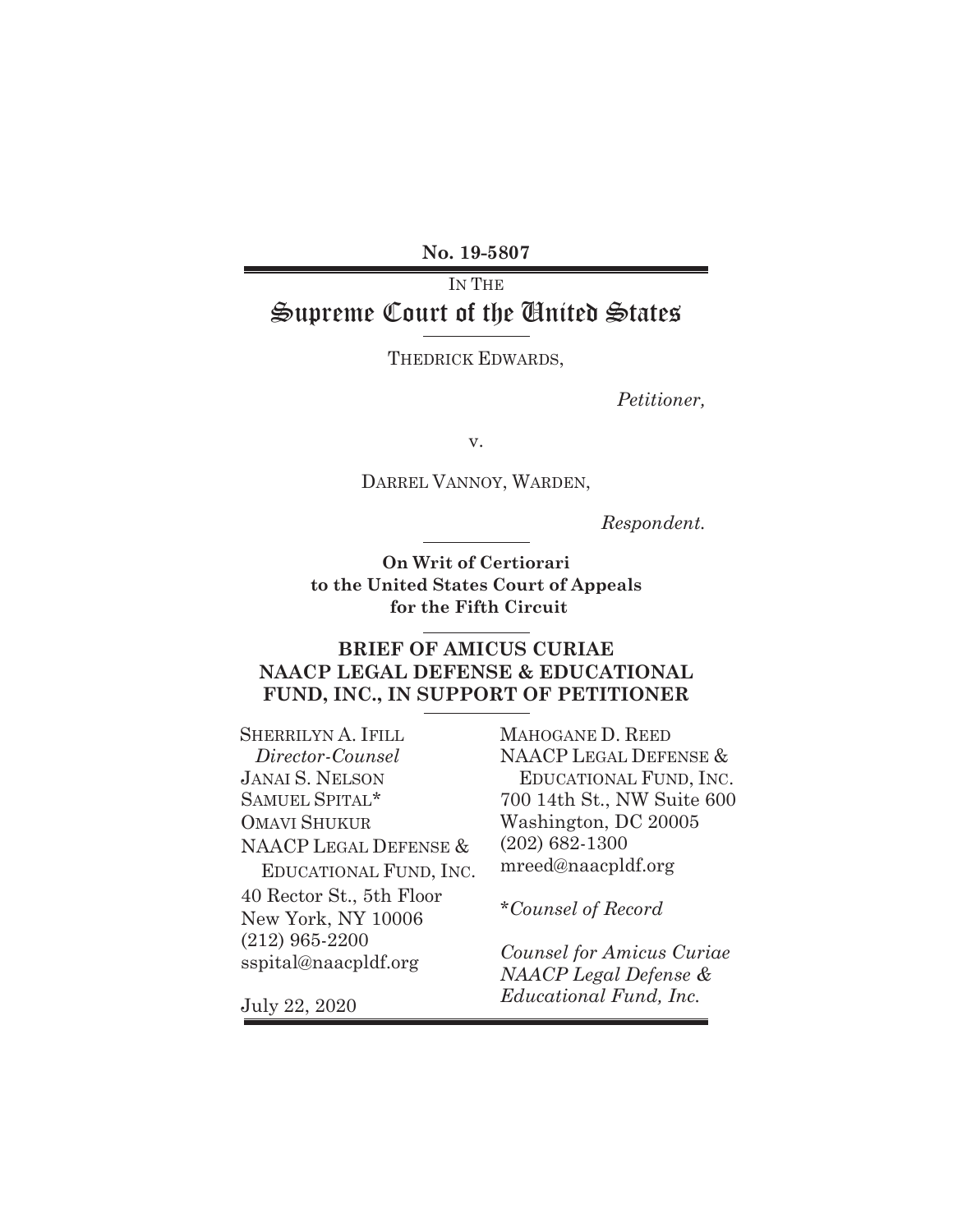**No. 19-5807** 

# IN THE Supreme Court of the United States

THEDRICK EDWARDS,

*Petitioner,* 

v.

DARREL VANNOY, WARDEN,

*Respondent.* 

**On Writ of Certiorari to the United States Court of Appeals for the Fifth Circuit** 

### **BRIEF OF AMICUS CURIAE NAACP LEGAL DEFENSE & EDUCATIONAL FUND, INC., IN SUPPORT OF PETITIONER**

SHERRILYN A. IFILL  *Director-Counsel*  JANAI S. NELSON SAMUEL SPITAL\* OMAVI SHUKUR NAACP LEGAL DEFENSE & EDUCATIONAL FUND, INC. 40 Rector St., 5th Floor New York, NY 10006 (212) 965-2200 sspital@naacpldf.org

MAHOGANE D. REED NAACP LEGAL DEFENSE & EDUCATIONAL FUND, INC. 700 14th St., NW Suite 600 Washington, DC 20005 (202) 682-1300 mreed@naacpldf.org

\**Counsel of Record* 

*Counsel for Amicus Curiae NAACP Legal Defense & Educational Fund, Inc.*

July 22, 2020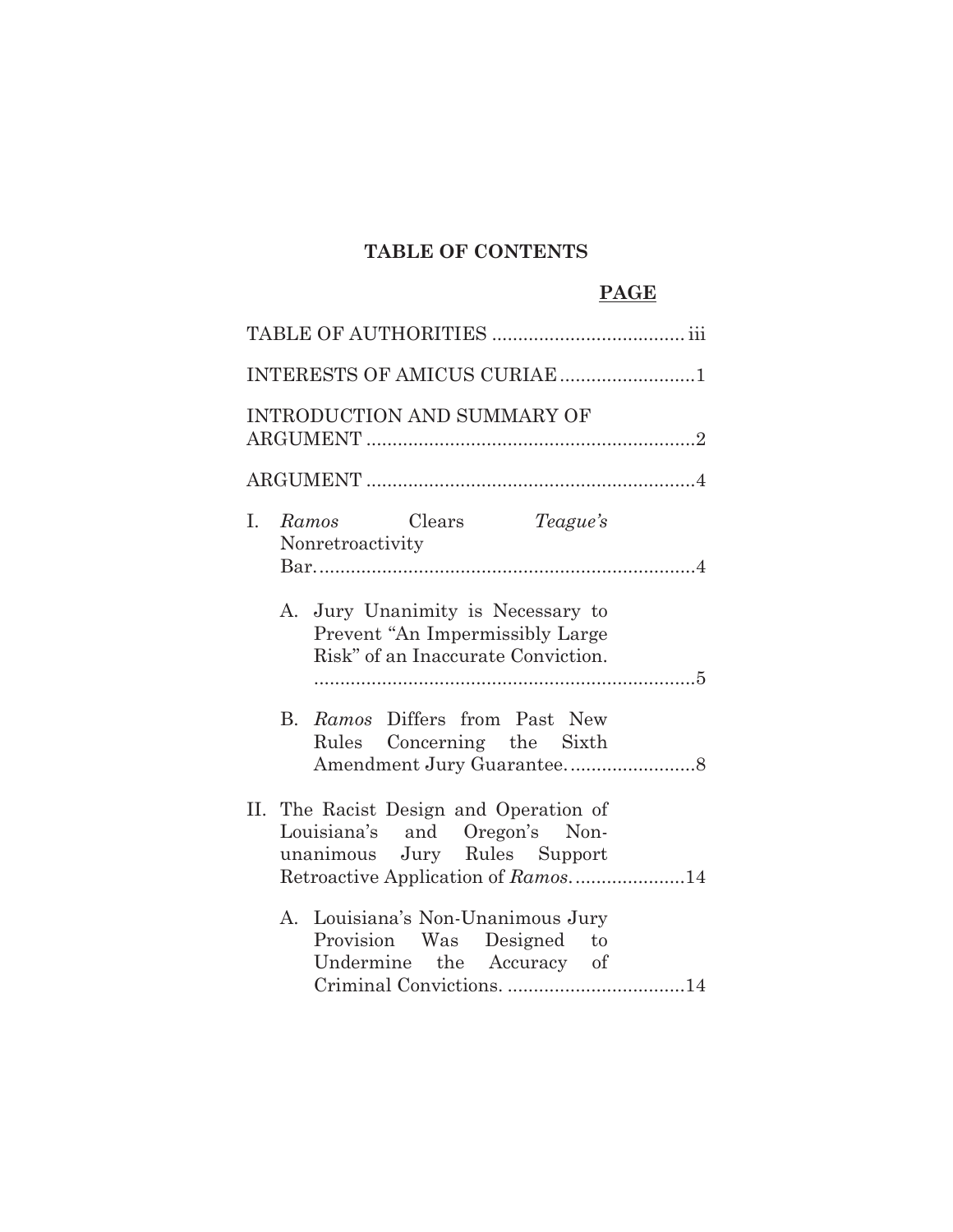# **TABLE OF CONTENTS**

## **PAGE**

|                |                                                                                                                                               | INTERESTS OF AMICUS CURIAE 1                                                                               |  |  |  |  |
|----------------|-----------------------------------------------------------------------------------------------------------------------------------------------|------------------------------------------------------------------------------------------------------------|--|--|--|--|
|                |                                                                                                                                               | <b>INTRODUCTION AND SUMMARY OF</b>                                                                         |  |  |  |  |
|                |                                                                                                                                               |                                                                                                            |  |  |  |  |
| $\mathbf{I}$ . |                                                                                                                                               | Ramos Clears Teague's<br>Nonretroactivity                                                                  |  |  |  |  |
|                |                                                                                                                                               | A. Jury Unanimity is Necessary to<br>Prevent "An Impermissibly Large<br>Risk" of an Inaccurate Conviction. |  |  |  |  |
|                | В.                                                                                                                                            | Ramos Differs from Past New<br>Rules Concerning the Sixth                                                  |  |  |  |  |
|                | II. The Racist Design and Operation of<br>Louisiana's and Oregon's Non-<br>unanimous Jury Rules Support<br>Retroactive Application of Ramos14 |                                                                                                            |  |  |  |  |
|                |                                                                                                                                               | A. Louisiana's Non-Unanimous Jury<br>Provision Was Designed to<br>Undermine the Accuracy of                |  |  |  |  |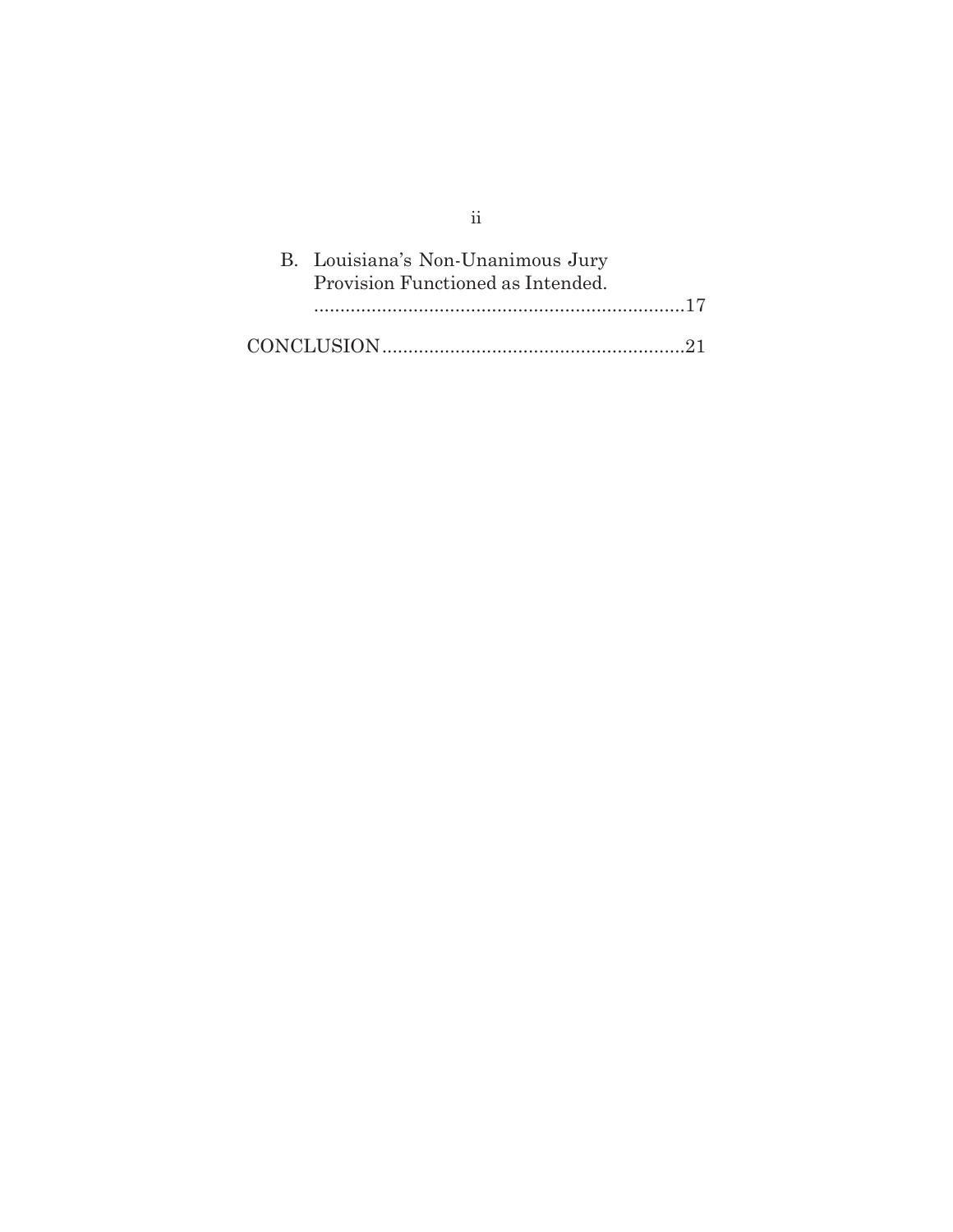| B. Louisiana's Non-Unanimous Jury<br>Provision Functioned as Intended. |
|------------------------------------------------------------------------|
|                                                                        |
|                                                                        |

ii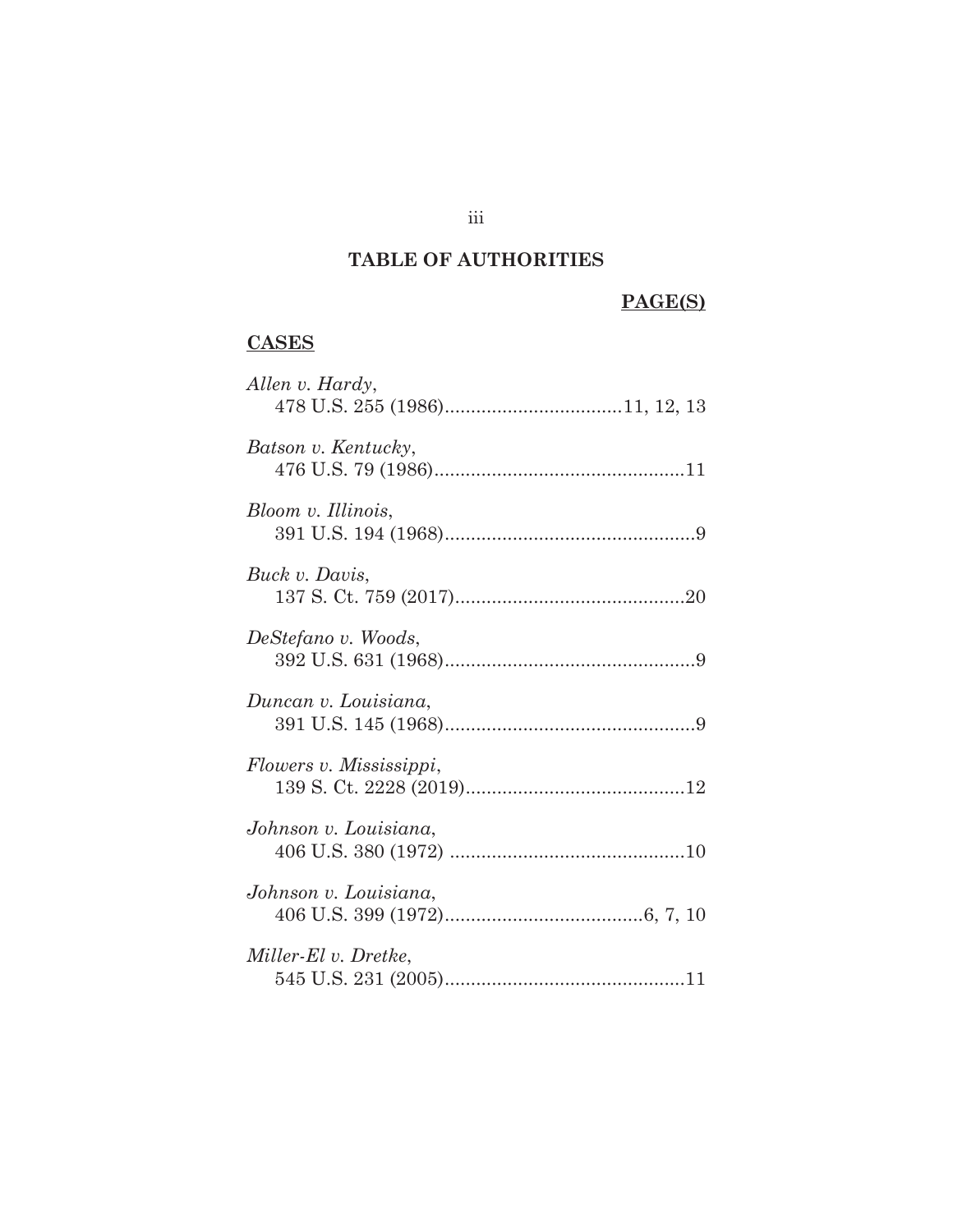## **TABLE OF AUTHORITIES**

### **PAGE(S)**

# **CASES**

| Allen v. Hardy,         |
|-------------------------|
| Batson v. Kentucky,     |
| Bloom v. Illinois,      |
| Buck v. Davis,          |
| DeStefano v. Woods,     |
| Duncan v. Louisiana,    |
| Flowers v. Mississippi, |
| Johnson v. Louisiana,   |
| Johnson v. Louisiana,   |
| Miller-El v. Dretke,    |

iii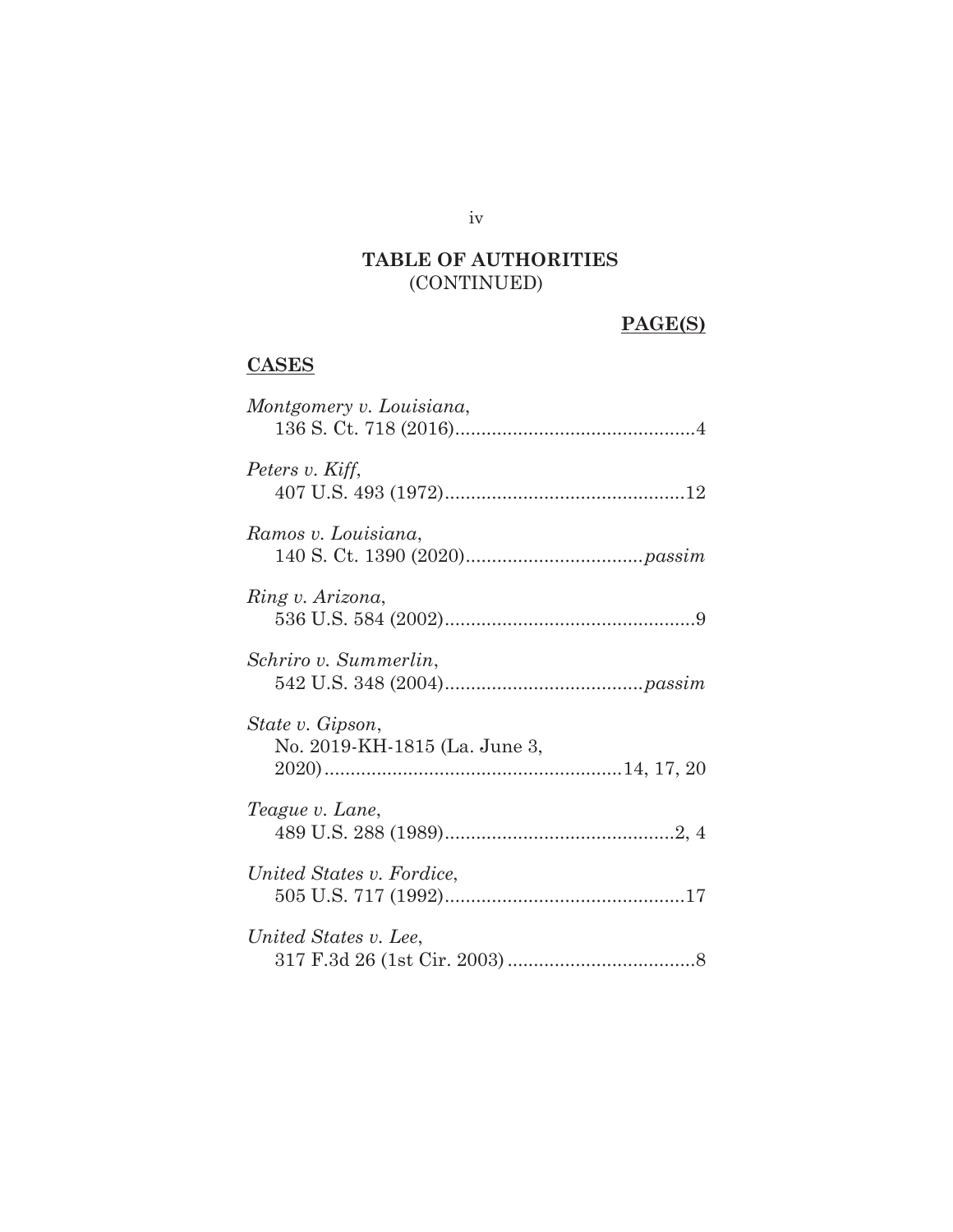## **TABLE OF AUTHORITIES**  (CONTINUED)

# **PAGE(S)**

# **CASES**

| Montgomery v. Louisiana,                          |
|---------------------------------------------------|
| Peters v. Kiff,                                   |
| Ramos v. Louisiana,                               |
| Ring v. Arizona,                                  |
| Schriro v. Summerlin,                             |
| State v. Gipson,<br>No. 2019-KH-1815 (La. June 3, |
| Teague v. Lane,                                   |
| United States v. Fordice,                         |
| United States v. Lee,                             |

iv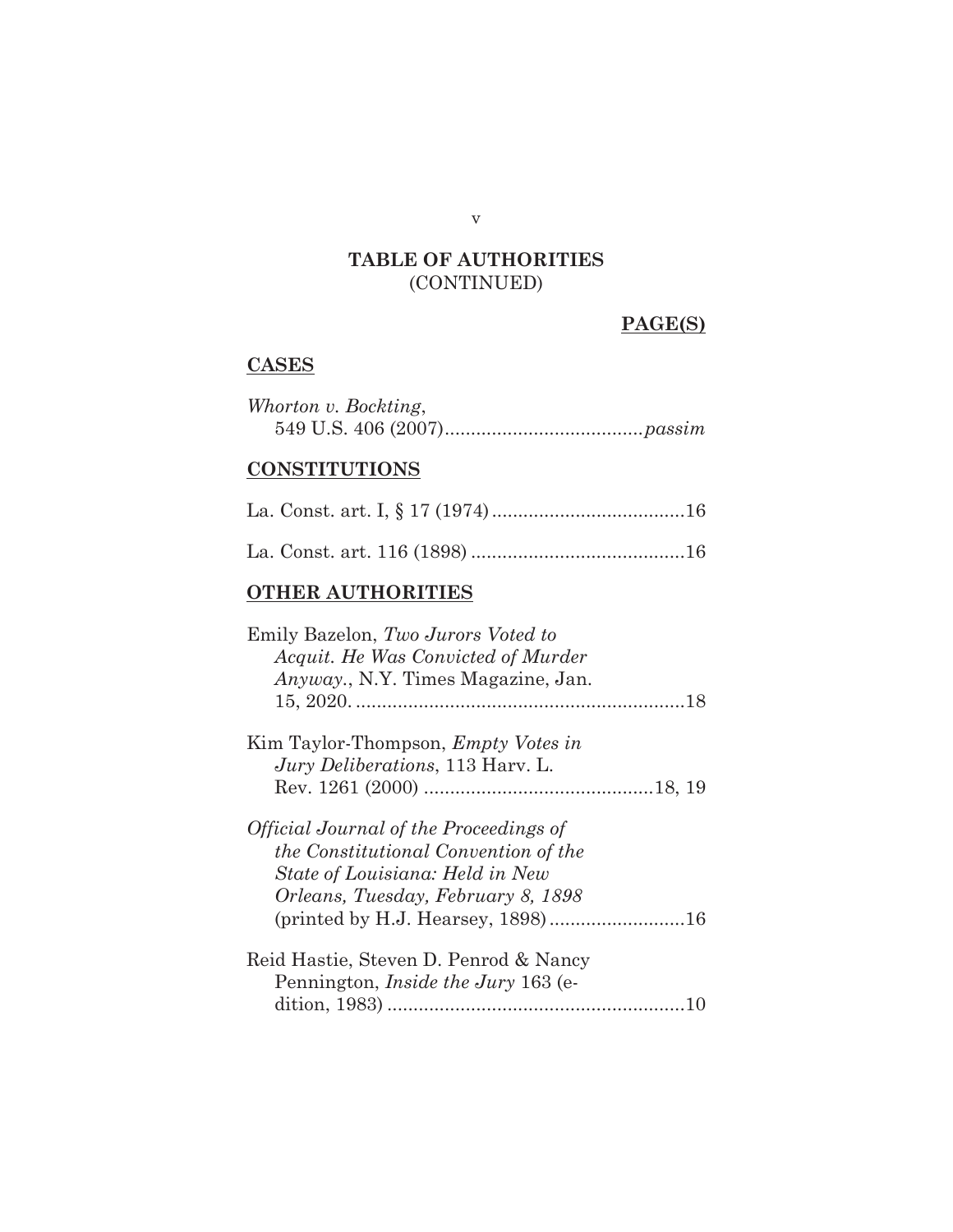### **TABLE OF AUTHORITIES**  (CONTINUED)

### **PAGE(S)**

# **CASES**

| Whorton v. Bockting, |  |
|----------------------|--|
|                      |  |

### **CONSTITUTIONS**

|--|--|--|--|--|--|--|

|--|--|--|--|--|--|

## **OTHER AUTHORITIES**

| Emily Bazelon, Two Jurors Voted to            |  |
|-----------------------------------------------|--|
| Acquit. He Was Convicted of Murder            |  |
| Anyway., N.Y. Times Magazine, Jan.            |  |
|                                               |  |
| Kim Taylor-Thompson, <i>Empty Votes in</i>    |  |
| <i>Jury Deliberations</i> , 113 Harv. L.      |  |
|                                               |  |
| <i>Official Journal of the Proceedings of</i> |  |
| the Constitutional Convention of the          |  |
| State of Louisiana: Held in New               |  |
| Orleans, Tuesday, February 8, 1898            |  |
|                                               |  |
| Reid Hastie, Steven D. Penrod & Nancy         |  |
| Pennington, <i>Inside the Jury</i> 163 (e-    |  |
|                                               |  |
|                                               |  |

v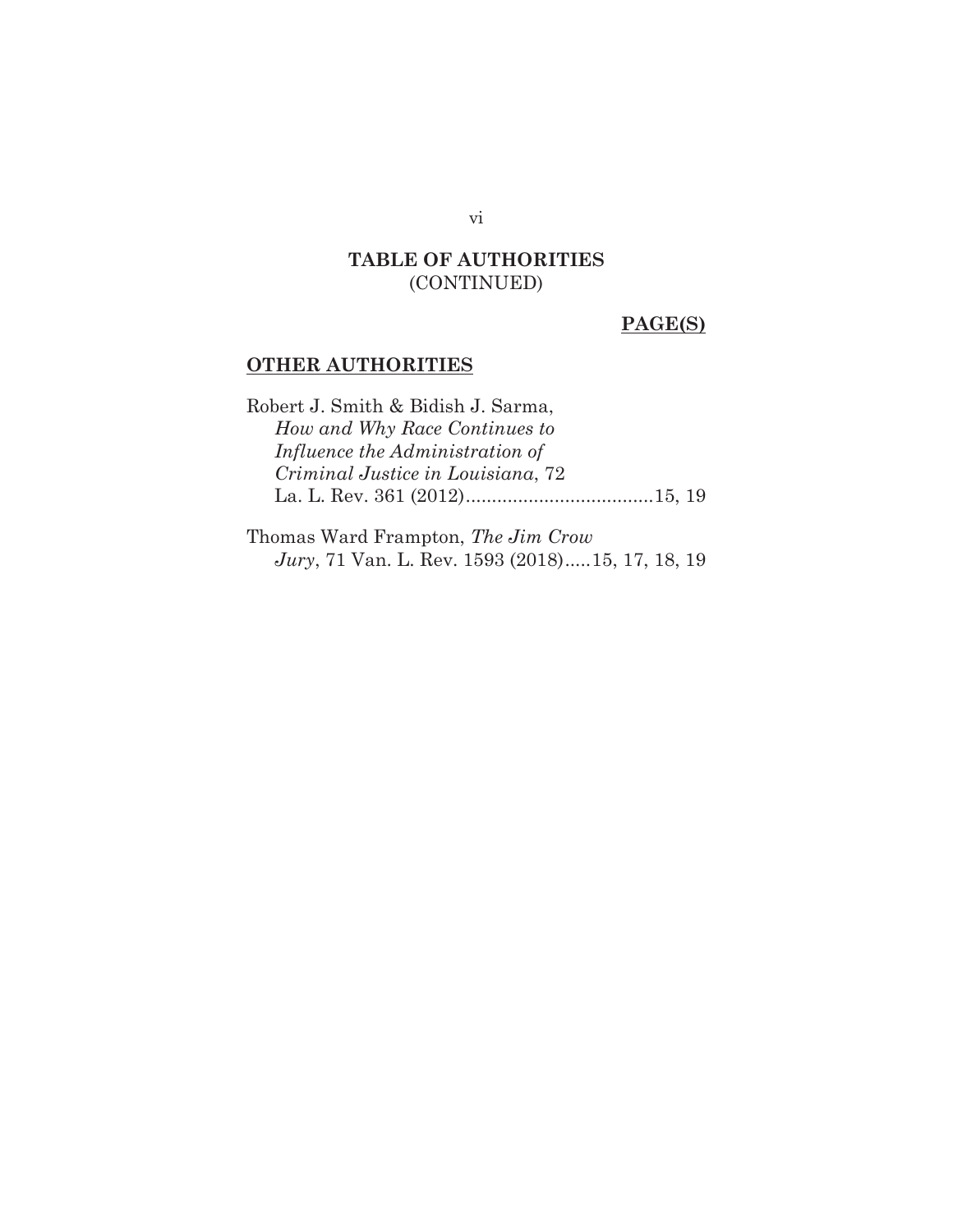#### **TABLE OF AUTHORITIES**  (CONTINUED)

#### **PAGE(S)**

### **OTHER AUTHORITIES**

Robert J. Smith & Bidish J. Sarma, *How and Why Race Continues to Influence the Administration of Criminal Justice in Louisiana*, 72 La. L. Rev. 361 (2012) .................................... 15, 19

Thomas Ward Frampton, *The Jim Crow Jury*, 71 Van. L. Rev. 1593 (2018) ..... 15, 17, 18, 19

vi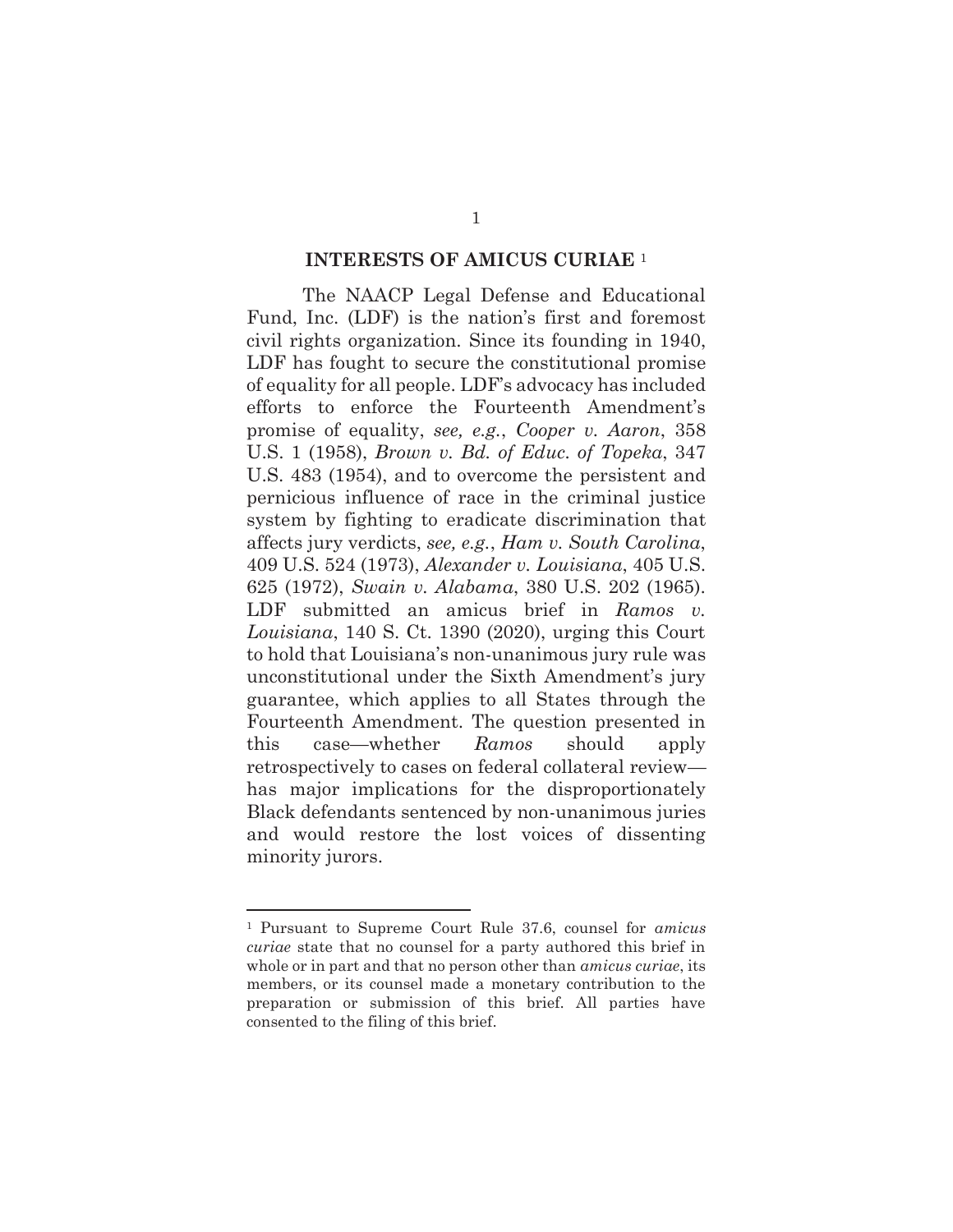#### **INTERESTS OF AMICUS CURIAE** <sup>1</sup>

The NAACP Legal Defense and Educational Fund, Inc. (LDF) is the nation's first and foremost civil rights organization. Since its founding in 1940, LDF has fought to secure the constitutional promise of equality for all people. LDF's advocacy has included efforts to enforce the Fourteenth Amendment's promise of equality, *see, e.g.*, *Cooper v. Aaron*, 358 U.S. 1 (1958), *Brown v. Bd. of Educ. of Topeka*, 347 U.S. 483 (1954), and to overcome the persistent and pernicious influence of race in the criminal justice system by fighting to eradicate discrimination that affects jury verdicts, *see, e.g.*, *Ham v. South Carolina*, 409 U.S. 524 (1973), *Alexander v. Louisiana*, 405 U.S. 625 (1972), *Swain v. Alabama*, 380 U.S. 202 (1965). LDF submitted an amicus brief in *Ramos v*. *Louisiana*, 140 S. Ct. 1390 (2020), urging this Court to hold that Louisiana's non-unanimous jury rule was unconstitutional under the Sixth Amendment's jury guarantee, which applies to all States through the Fourteenth Amendment. The question presented in this case—whether *Ramos* should apply retrospectively to cases on federal collateral review has major implications for the disproportionately Black defendants sentenced by non-unanimous juries and would restore the lost voices of dissenting minority jurors.

<sup>1</sup> Pursuant to Supreme Court Rule 37.6, counsel for *amicus curiae* state that no counsel for a party authored this brief in whole or in part and that no person other than *amicus curiae*, its members, or its counsel made a monetary contribution to the preparation or submission of this brief. All parties have consented to the filing of this brief.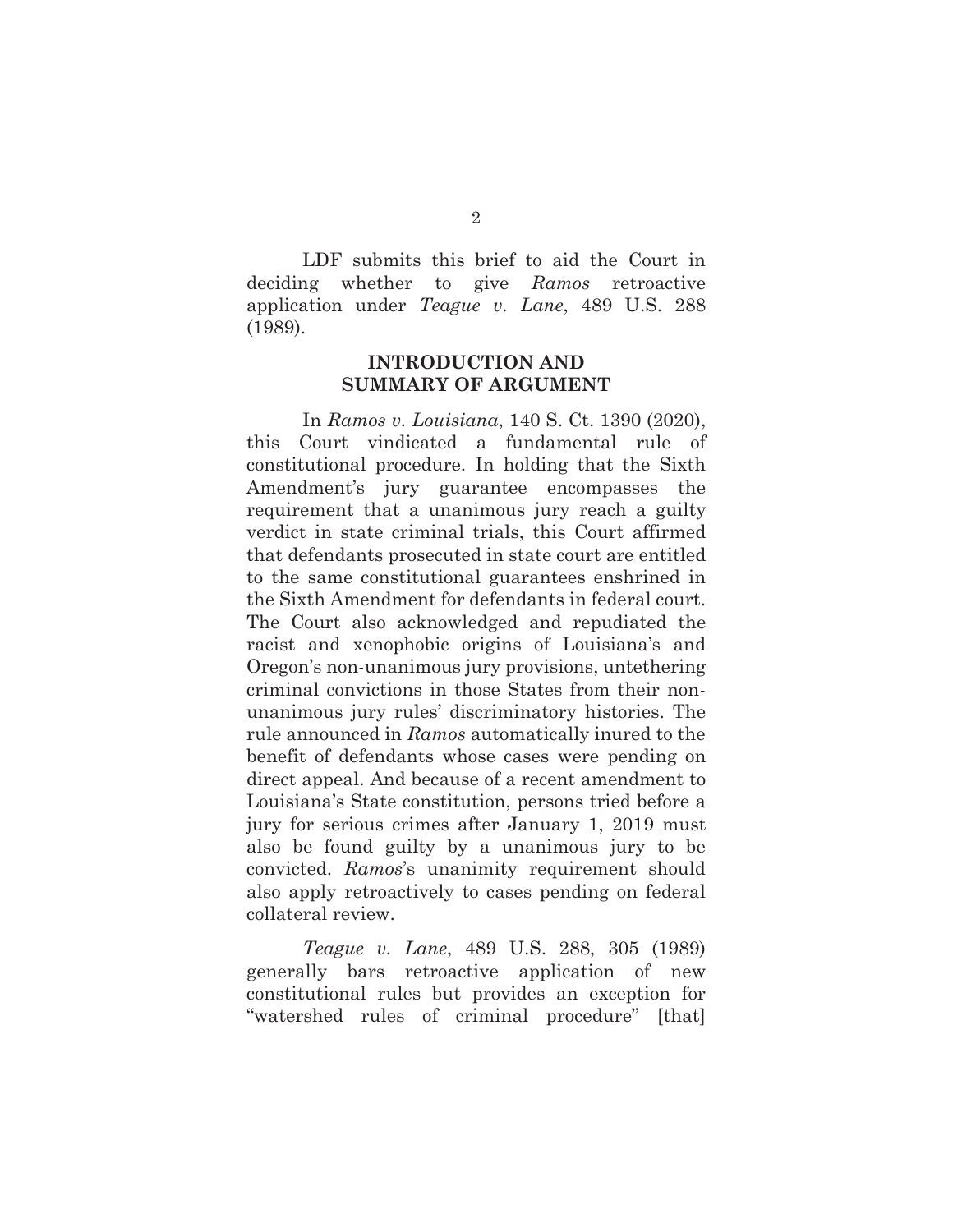LDF submits this brief to aid the Court in deciding whether to give *Ramos* retroactive application under *Teague v. Lane*, 489 U.S. 288 (1989).

#### **INTRODUCTION AND SUMMARY OF ARGUMENT**

In *Ramos v. Louisiana*, 140 S. Ct. 1390 (2020), this Court vindicated a fundamental rule of constitutional procedure. In holding that the Sixth Amendment's jury guarantee encompasses the requirement that a unanimous jury reach a guilty verdict in state criminal trials, this Court affirmed that defendants prosecuted in state court are entitled to the same constitutional guarantees enshrined in the Sixth Amendment for defendants in federal court. The Court also acknowledged and repudiated the racist and xenophobic origins of Louisiana's and Oregon's non-unanimous jury provisions, untethering criminal convictions in those States from their nonunanimous jury rules' discriminatory histories. The rule announced in *Ramos* automatically inured to the benefit of defendants whose cases were pending on direct appeal. And because of a recent amendment to Louisiana's State constitution, persons tried before a jury for serious crimes after January 1, 2019 must also be found guilty by a unanimous jury to be convicted. *Ramos*'s unanimity requirement should also apply retroactively to cases pending on federal collateral review.

*Teague v. Lane*, 489 U.S. 288, 305 (1989) generally bars retroactive application of new constitutional rules but provides an exception for "watershed rules of criminal procedure" [that]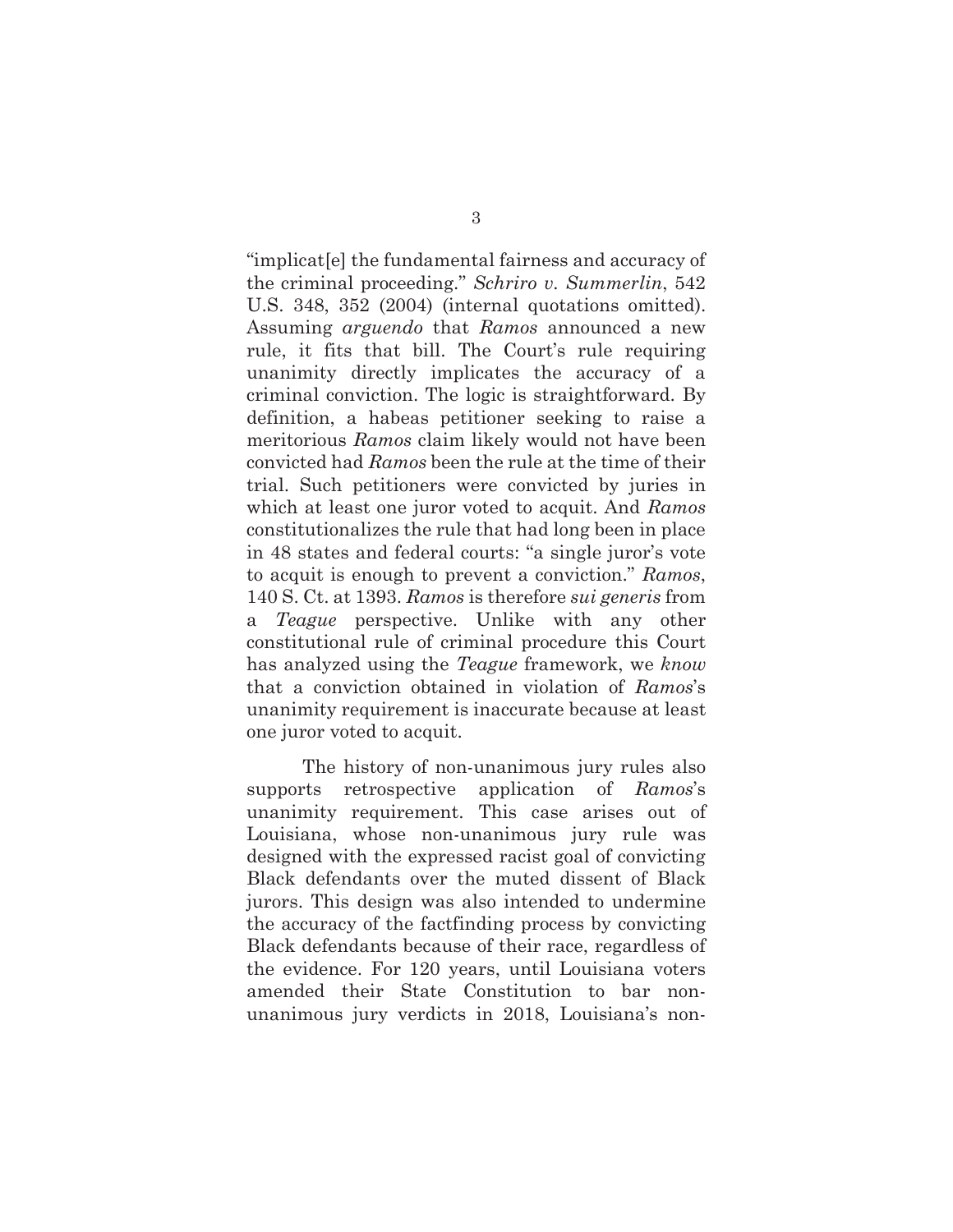"implicat[e] the fundamental fairness and accuracy of the criminal proceeding." *Schriro v. Summerlin*, 542 U.S. 348, 352 (2004) (internal quotations omitted). Assuming *arguendo* that *Ramos* announced a new rule, it fits that bill. The Court's rule requiring unanimity directly implicates the accuracy of a criminal conviction. The logic is straightforward. By definition, a habeas petitioner seeking to raise a meritorious *Ramos* claim likely would not have been convicted had *Ramos* been the rule at the time of their trial. Such petitioners were convicted by juries in which at least one juror voted to acquit. And *Ramos*  constitutionalizes the rule that had long been in place in 48 states and federal courts: "a single juror's vote to acquit is enough to prevent a conviction." *Ramos*, 140 S. Ct. at 1393. *Ramos* is therefore *sui generis* from a *Teague* perspective. Unlike with any other constitutional rule of criminal procedure this Court has analyzed using the *Teague* framework, we *know* that a conviction obtained in violation of *Ramos*'s unanimity requirement is inaccurate because at least one juror voted to acquit.

The history of non-unanimous jury rules also supports retrospective application of *Ramos*'s unanimity requirement. This case arises out of Louisiana, whose non-unanimous jury rule was designed with the expressed racist goal of convicting Black defendants over the muted dissent of Black jurors. This design was also intended to undermine the accuracy of the factfinding process by convicting Black defendants because of their race, regardless of the evidence. For 120 years, until Louisiana voters amended their State Constitution to bar nonunanimous jury verdicts in 2018, Louisiana's non-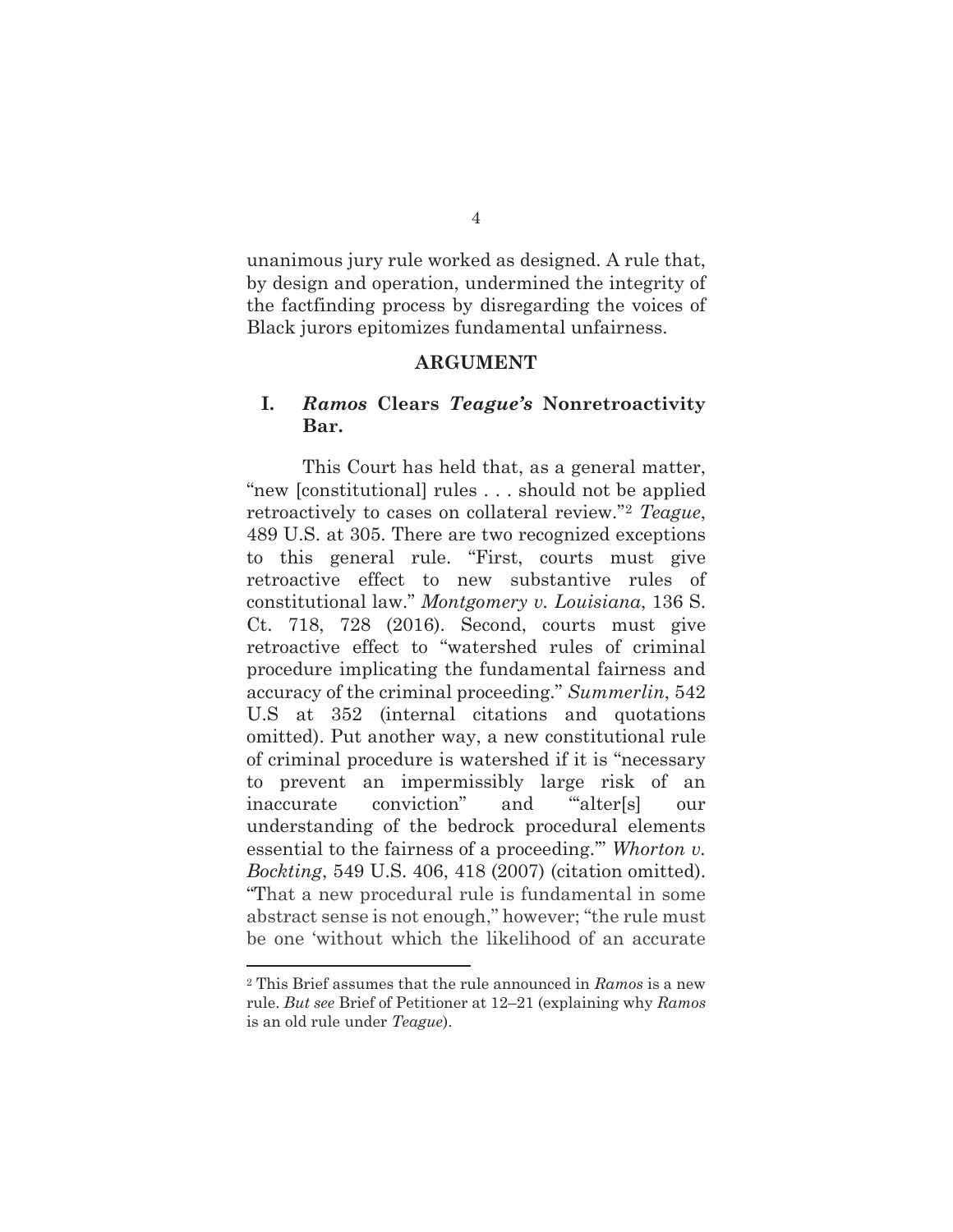unanimous jury rule worked as designed. A rule that, by design and operation, undermined the integrity of the factfinding process by disregarding the voices of Black jurors epitomizes fundamental unfairness.

#### **ARGUMENT**

#### **I.** *Ramos* **Clears** *Teague's* **Nonretroactivity Bar.**

This Court has held that, as a general matter, "new [constitutional] rules . . . should not be applied retroactively to cases on collateral review."2 *Teague*, 489 U.S. at 305. There are two recognized exceptions to this general rule. "First, courts must give retroactive effect to new substantive rules of constitutional law." *Montgomery v. Louisiana*, 136 S. Ct. 718, 728 (2016). Second, courts must give retroactive effect to "watershed rules of criminal procedure implicating the fundamental fairness and accuracy of the criminal proceeding." *Summerlin*, 542 U.S at 352 (internal citations and quotations omitted). Put another way, a new constitutional rule of criminal procedure is watershed if it is "necessary to prevent an impermissibly large risk of an inaccurate conviction" and "alter[s] our understanding of the bedrock procedural elements essential to the fairness of a proceeding.'" *Whorton v. Bockting*, 549 U.S. 406, 418 (2007) (citation omitted). "That a new procedural rule is fundamental in some abstract sense is not enough," however; "the rule must be one 'without which the likelihood of an accurate

<sup>2</sup> This Brief assumes that the rule announced in *Ramos* is a new rule. *But see* Brief of Petitioner at 12–21 (explaining why *Ramos*  is an old rule under *Teague*).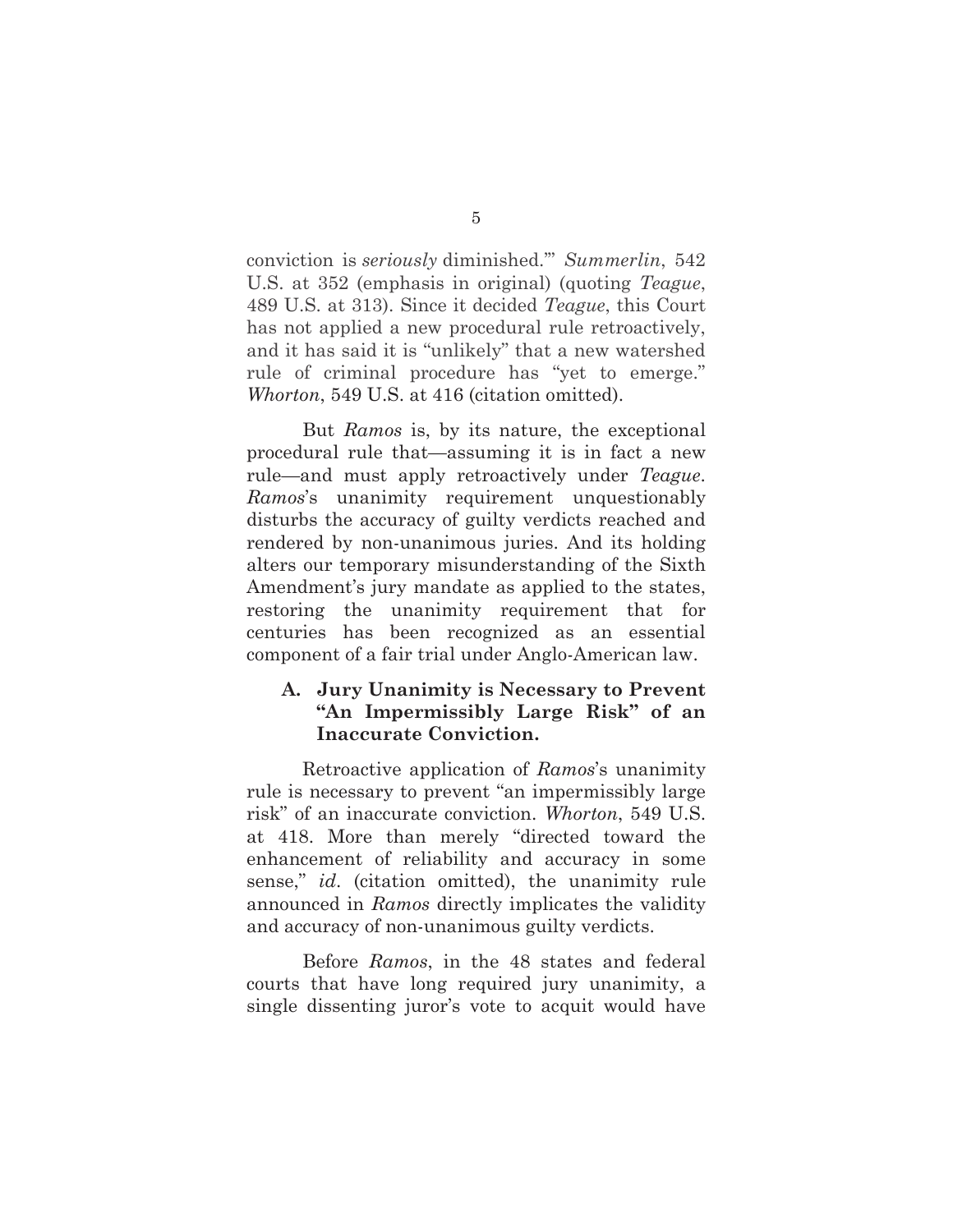conviction is *seriously* diminished.'" *Summerlin*, 542 U.S. at 352 (emphasis in original) (quoting *Teague*, 489 U.S. at 313). Since it decided *Teague*, this Court has not applied a new procedural rule retroactively, and it has said it is "unlikely" that a new watershed rule of criminal procedure has "yet to emerge." *Whorton*, 549 U.S. at 416 (citation omitted).

But *Ramos* is, by its nature, the exceptional procedural rule that—assuming it is in fact a new rule—and must apply retroactively under *Teague*. *Ramos*'s unanimity requirement unquestionably disturbs the accuracy of guilty verdicts reached and rendered by non-unanimous juries. And its holding alters our temporary misunderstanding of the Sixth Amendment's jury mandate as applied to the states, restoring the unanimity requirement that for centuries has been recognized as an essential component of a fair trial under Anglo-American law.

#### **A. Jury Unanimity is Necessary to Prevent "An Impermissibly Large Risk" of an Inaccurate Conviction.**

Retroactive application of *Ramos*'s unanimity rule is necessary to prevent "an impermissibly large risk" of an inaccurate conviction. *Whorton*, 549 U.S. at 418. More than merely "directed toward the enhancement of reliability and accuracy in some sense," *id*. (citation omitted), the unanimity rule announced in *Ramos* directly implicates the validity and accuracy of non-unanimous guilty verdicts.

Before *Ramos*, in the 48 states and federal courts that have long required jury unanimity, a single dissenting juror's vote to acquit would have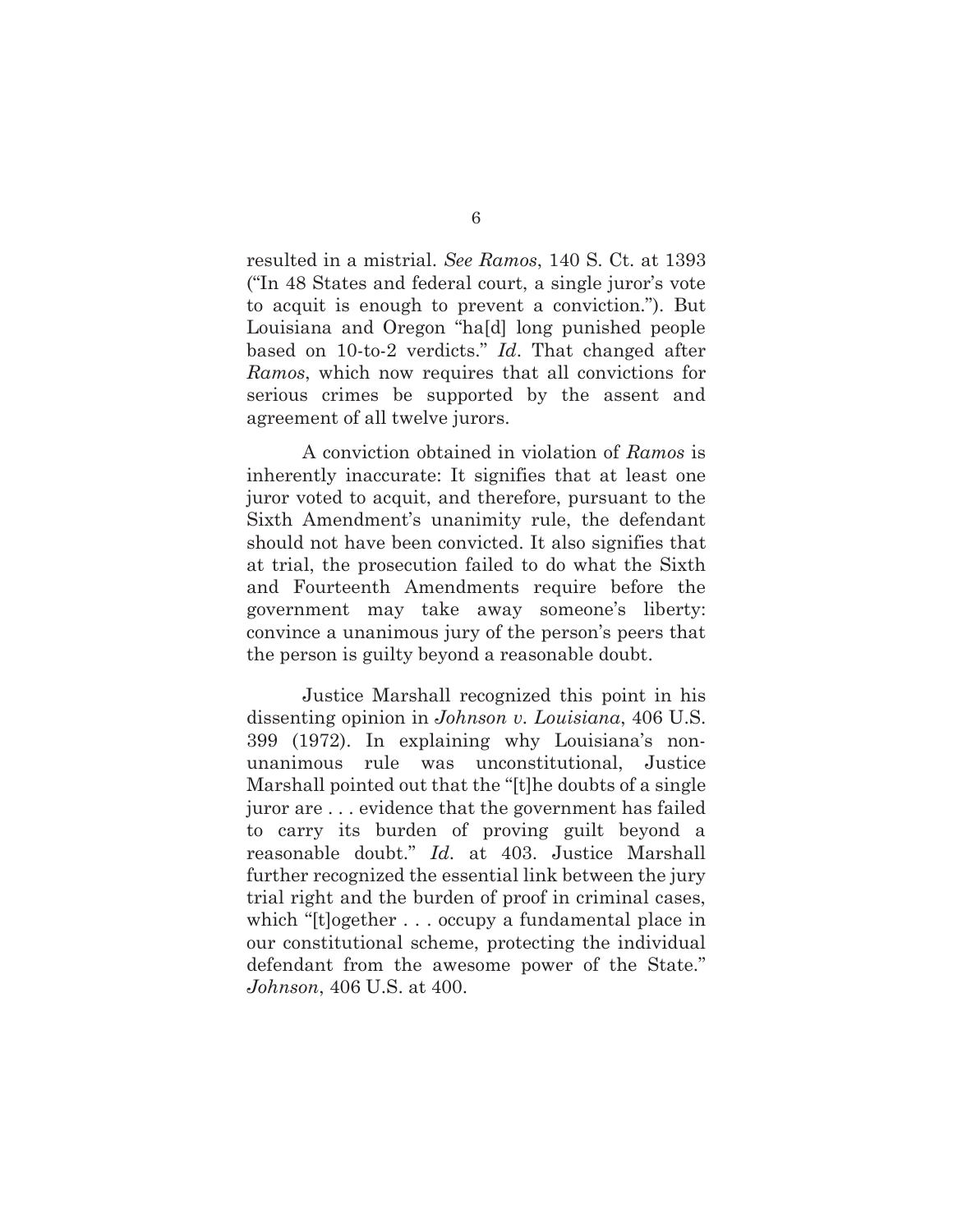resulted in a mistrial. *See Ramos*, 140 S. Ct. at 1393 ("In 48 States and federal court, a single juror's vote to acquit is enough to prevent a conviction."). But Louisiana and Oregon "ha[d] long punished people based on 10-to-2 verdicts." *Id*. That changed after *Ramos*, which now requires that all convictions for serious crimes be supported by the assent and agreement of all twelve jurors.

A conviction obtained in violation of *Ramos* is inherently inaccurate: It signifies that at least one juror voted to acquit, and therefore, pursuant to the Sixth Amendment's unanimity rule, the defendant should not have been convicted. It also signifies that at trial, the prosecution failed to do what the Sixth and Fourteenth Amendments require before the government may take away someone's liberty: convince a unanimous jury of the person's peers that the person is guilty beyond a reasonable doubt.

Justice Marshall recognized this point in his dissenting opinion in *Johnson v. Louisiana*, 406 U.S. 399 (1972). In explaining why Louisiana's nonunanimous rule was unconstitutional, Justice Marshall pointed out that the "[t]he doubts of a single juror are . . . evidence that the government has failed to carry its burden of proving guilt beyond a reasonable doubt." *Id*. at 403. Justice Marshall further recognized the essential link between the jury trial right and the burden of proof in criminal cases, which "[t]ogether . . . occupy a fundamental place in our constitutional scheme, protecting the individual defendant from the awesome power of the State." *Johnson*, 406 U.S. at 400.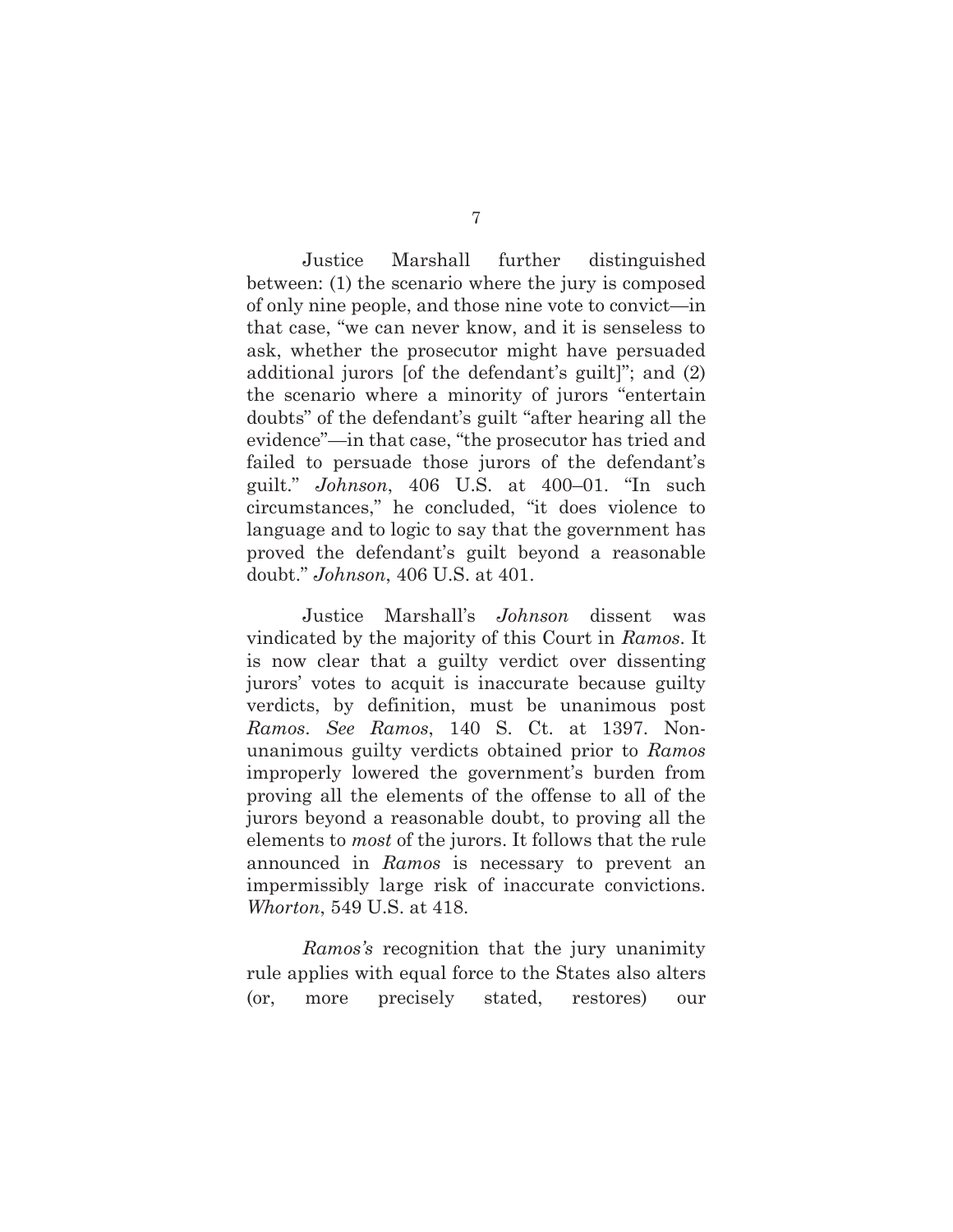Justice Marshall further distinguished between: (1) the scenario where the jury is composed of only nine people, and those nine vote to convict—in that case, "we can never know, and it is senseless to ask, whether the prosecutor might have persuaded additional jurors [of the defendant's guilt]"; and (2) the scenario where a minority of jurors "entertain doubts" of the defendant's guilt "after hearing all the evidence"—in that case, "the prosecutor has tried and failed to persuade those jurors of the defendant's guilt." *Johnson*, 406 U.S. at 400–01. "In such circumstances," he concluded, "it does violence to language and to logic to say that the government has proved the defendant's guilt beyond a reasonable doubt." *Johnson*, 406 U.S. at 401.

Justice Marshall's *Johnson* dissent was vindicated by the majority of this Court in *Ramos*. It is now clear that a guilty verdict over dissenting jurors' votes to acquit is inaccurate because guilty verdicts, by definition, must be unanimous post *Ramos*. *See Ramos*, 140 S. Ct. at 1397. Nonunanimous guilty verdicts obtained prior to *Ramos*  improperly lowered the government's burden from proving all the elements of the offense to all of the jurors beyond a reasonable doubt, to proving all the elements to *most* of the jurors. It follows that the rule announced in *Ramos* is necessary to prevent an impermissibly large risk of inaccurate convictions. *Whorton*, 549 U.S. at 418.

*Ramos's* recognition that the jury unanimity rule applies with equal force to the States also alters (or, more precisely stated, restores) our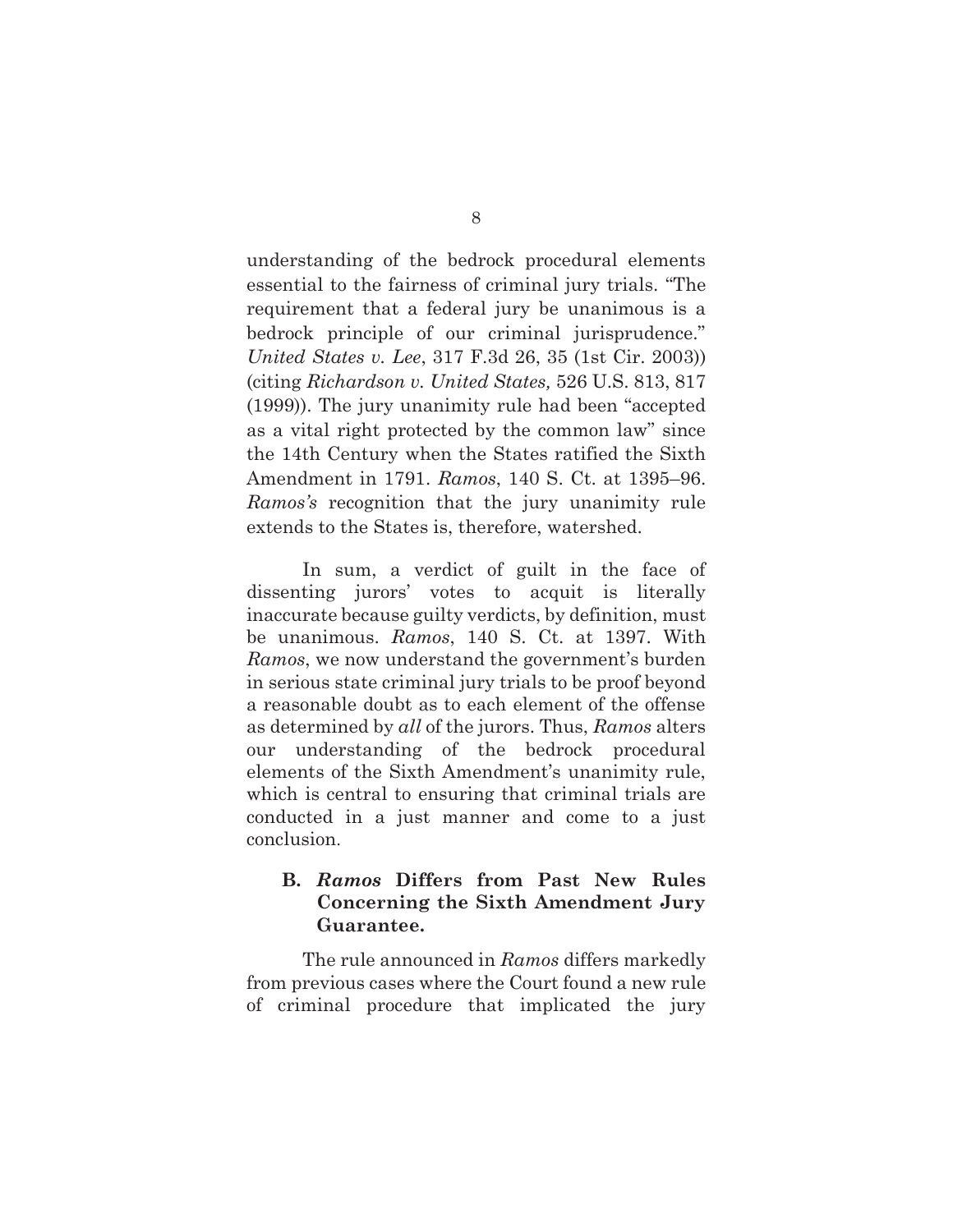understanding of the bedrock procedural elements essential to the fairness of criminal jury trials. "The requirement that a federal jury be unanimous is a bedrock principle of our criminal jurisprudence." *United States v. Lee*, 317 F.3d 26, 35 (1st Cir. 2003)) (citing *Richardson v. United States,* 526 U.S. 813, 817 (1999)). The jury unanimity rule had been "accepted as a vital right protected by the common law" since the 14th Century when the States ratified the Sixth Amendment in 1791. *Ramos*, 140 S. Ct. at 1395–96. *Ramos's* recognition that the jury unanimity rule extends to the States is, therefore, watershed.

In sum, a verdict of guilt in the face of dissenting jurors' votes to acquit is literally inaccurate because guilty verdicts, by definition, must be unanimous. *Ramos*, 140 S. Ct. at 1397. With *Ramos*, we now understand the government's burden in serious state criminal jury trials to be proof beyond a reasonable doubt as to each element of the offense as determined by *all* of the jurors. Thus, *Ramos* alters our understanding of the bedrock procedural elements of the Sixth Amendment's unanimity rule, which is central to ensuring that criminal trials are conducted in a just manner and come to a just conclusion.

#### **B.** *Ramos* **Differs from Past New Rules Concerning the Sixth Amendment Jury Guarantee.**

The rule announced in *Ramos* differs markedly from previous cases where the Court found a new rule of criminal procedure that implicated the jury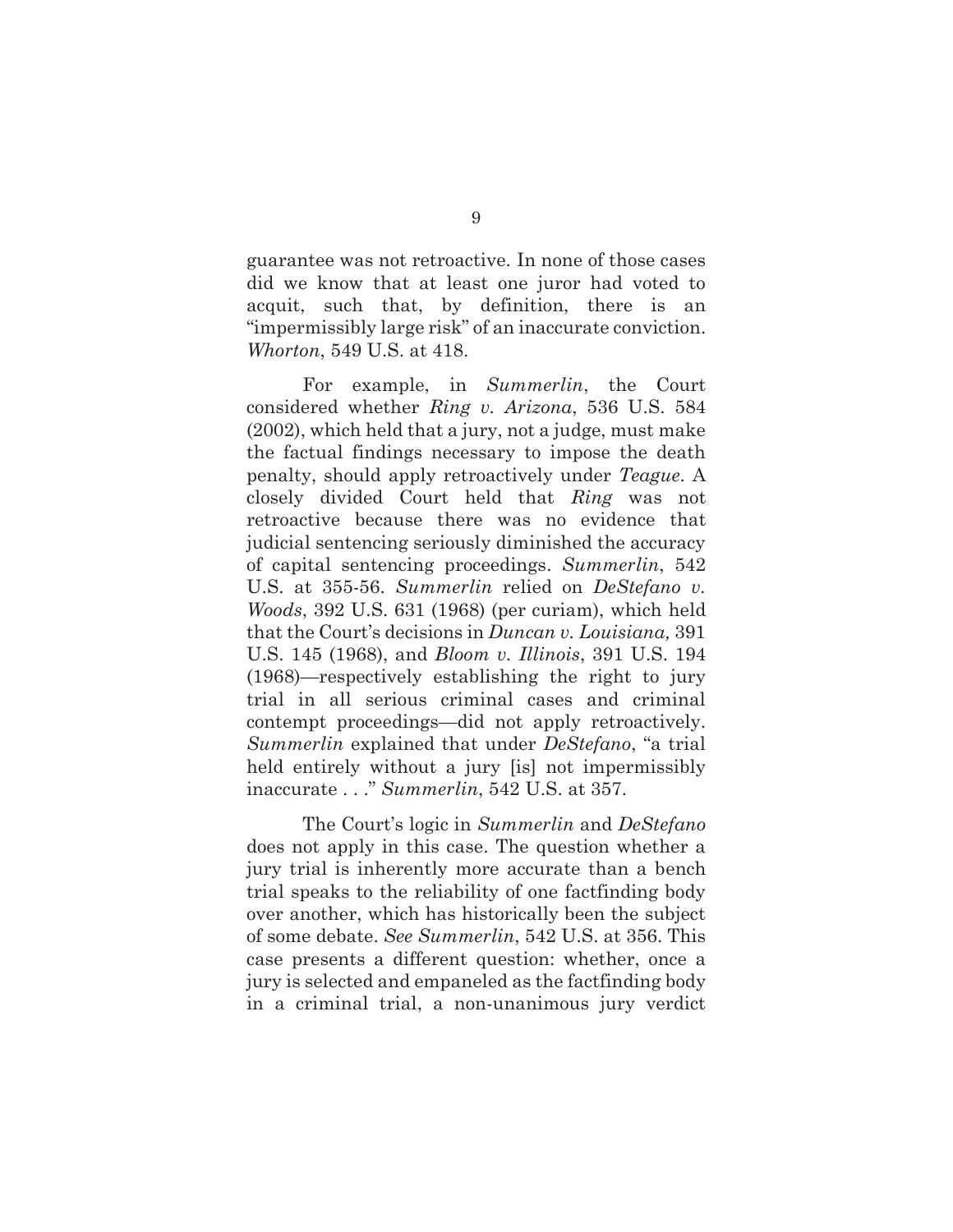guarantee was not retroactive. In none of those cases did we know that at least one juror had voted to acquit, such that, by definition, there is an "impermissibly large risk" of an inaccurate conviction. *Whorton*, 549 U.S. at 418.

For example, in *Summerlin*, the Court considered whether *Ring v. Arizona*, 536 U.S. 584 (2002), which held that a jury, not a judge, must make the factual findings necessary to impose the death penalty, should apply retroactively under *Teague*. A closely divided Court held that *Ring* was not retroactive because there was no evidence that judicial sentencing seriously diminished the accuracy of capital sentencing proceedings. *Summerlin*, 542 U.S. at 355-56. *Summerlin* relied on *DeStefano v. Woods*, 392 U.S. 631 (1968) (per curiam), which held that the Court's decisions in *Duncan v. Louisiana,* 391 U.S. 145 (1968), and *Bloom v. Illinois*, 391 U.S. 194 (1968)—respectively establishing the right to jury trial in all serious criminal cases and criminal contempt proceedings—did not apply retroactively. *Summerlin* explained that under *DeStefano*, "a trial held entirely without a jury [is] not impermissibly inaccurate . . ." *Summerlin*, 542 U.S. at 357.

The Court's logic in *Summerlin* and *DeStefano* does not apply in this case. The question whether a jury trial is inherently more accurate than a bench trial speaks to the reliability of one factfinding body over another, which has historically been the subject of some debate. *See Summerlin*, 542 U.S. at 356. This case presents a different question: whether, once a jury is selected and empaneled as the factfinding body in a criminal trial, a non-unanimous jury verdict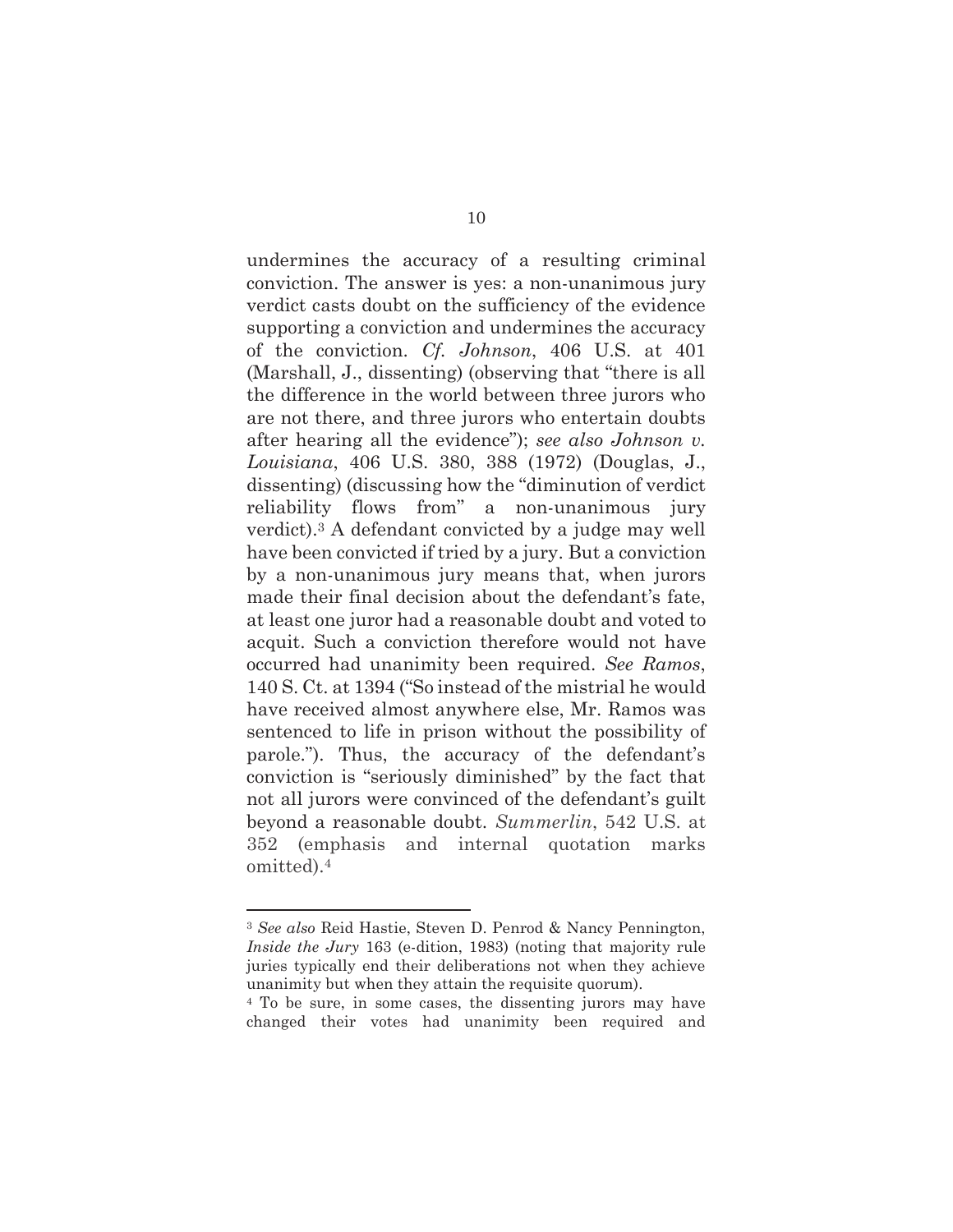undermines the accuracy of a resulting criminal conviction. The answer is yes: a non-unanimous jury verdict casts doubt on the sufficiency of the evidence supporting a conviction and undermines the accuracy of the conviction. *Cf. Johnson*, 406 U.S. at 401 (Marshall, J., dissenting) (observing that "there is all the difference in the world between three jurors who are not there, and three jurors who entertain doubts after hearing all the evidence"); *see also Johnson v. Louisiana*, 406 U.S. 380, 388 (1972) (Douglas, J., dissenting) (discussing how the "diminution of verdict reliability flows from" a non-unanimous jury verdict).3 A defendant convicted by a judge may well have been convicted if tried by a jury. But a conviction by a non-unanimous jury means that, when jurors made their final decision about the defendant's fate, at least one juror had a reasonable doubt and voted to acquit. Such a conviction therefore would not have occurred had unanimity been required. *See Ramos*, 140 S. Ct. at 1394 ("So instead of the mistrial he would have received almost anywhere else, Mr. Ramos was sentenced to life in prison without the possibility of parole."). Thus, the accuracy of the defendant's conviction is "seriously diminished" by the fact that not all jurors were convinced of the defendant's guilt beyond a reasonable doubt. *Summerlin*, 542 U.S. at 352 (emphasis and internal quotation marks omitted).4

<sup>3</sup> *See also* Reid Hastie, Steven D. Penrod & Nancy Pennington, *Inside the Jury* 163 (e-dition, 1983) (noting that majority rule juries typically end their deliberations not when they achieve unanimity but when they attain the requisite quorum).

<sup>4</sup> To be sure, in some cases, the dissenting jurors may have changed their votes had unanimity been required and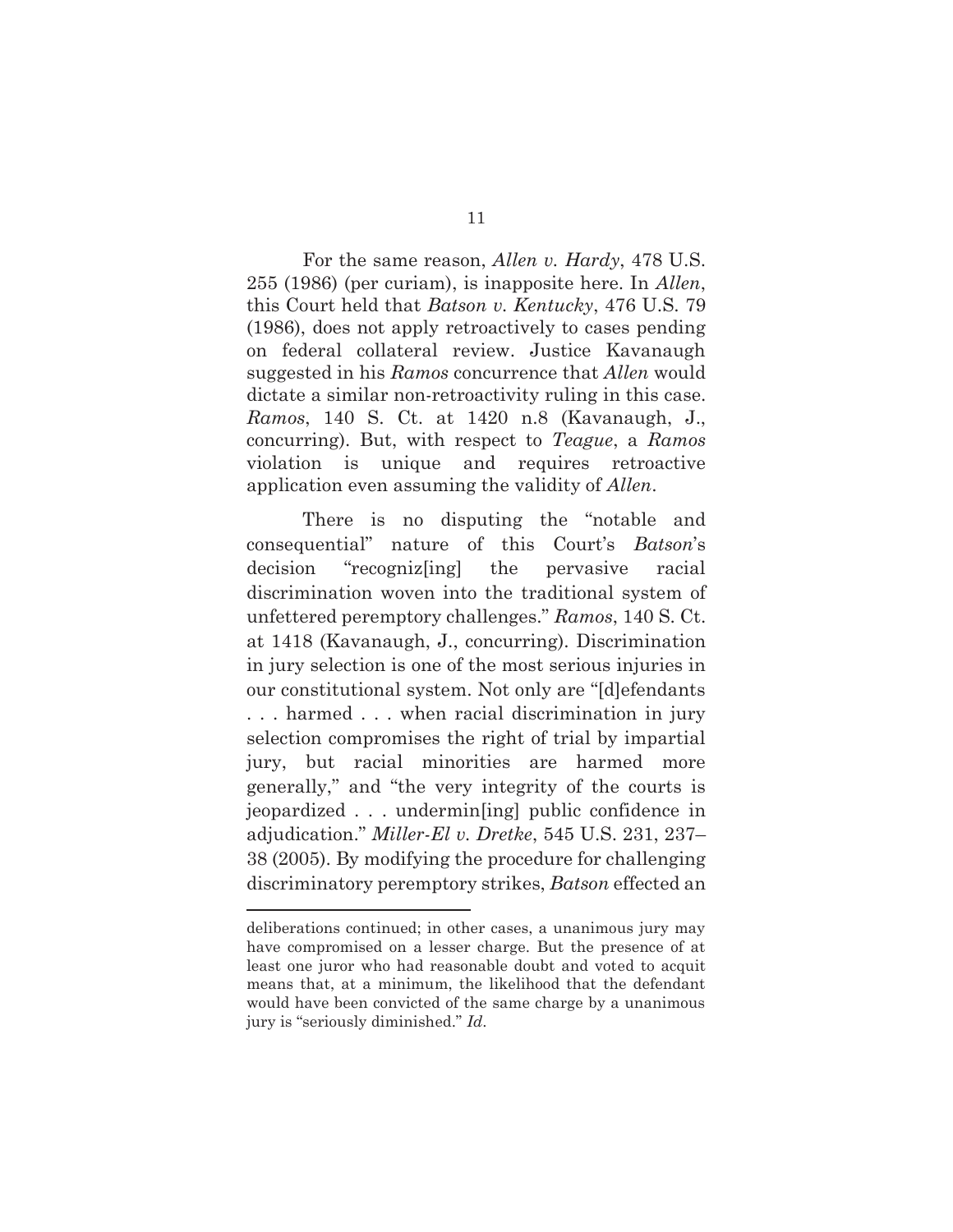For the same reason, *Allen v. Hardy*, 478 U.S. 255 (1986) (per curiam), is inapposite here. In *Allen*, this Court held that *Batson v. Kentucky*, 476 U.S. 79 (1986), does not apply retroactively to cases pending on federal collateral review. Justice Kavanaugh suggested in his *Ramos* concurrence that *Allen* would dictate a similar non-retroactivity ruling in this case. *Ramos*, 140 S. Ct. at 1420 n.8 (Kavanaugh, J., concurring). But, with respect to *Teague*, a *Ramos*  violation is unique and requires retroactive application even assuming the validity of *Allen*.

There is no disputing the "notable and consequential" nature of this Court's *Batson*'s decision "recogniz[ing] the pervasive racial discrimination woven into the traditional system of unfettered peremptory challenges." *Ramos*, 140 S. Ct. at 1418 (Kavanaugh, J., concurring). Discrimination in jury selection is one of the most serious injuries in our constitutional system. Not only are "[d]efendants . . . harmed . . . when racial discrimination in jury selection compromises the right of trial by impartial jury, but racial minorities are harmed more generally," and "the very integrity of the courts is jeopardized . . . undermin[ing] public confidence in adjudication." *Miller-El v. Dretke*, 545 U.S. 231, 237– 38 (2005). By modifying the procedure for challenging discriminatory peremptory strikes, *Batson* effected an

deliberations continued; in other cases, a unanimous jury may have compromised on a lesser charge. But the presence of at least one juror who had reasonable doubt and voted to acquit means that, at a minimum, the likelihood that the defendant would have been convicted of the same charge by a unanimous jury is "seriously diminished." *Id*.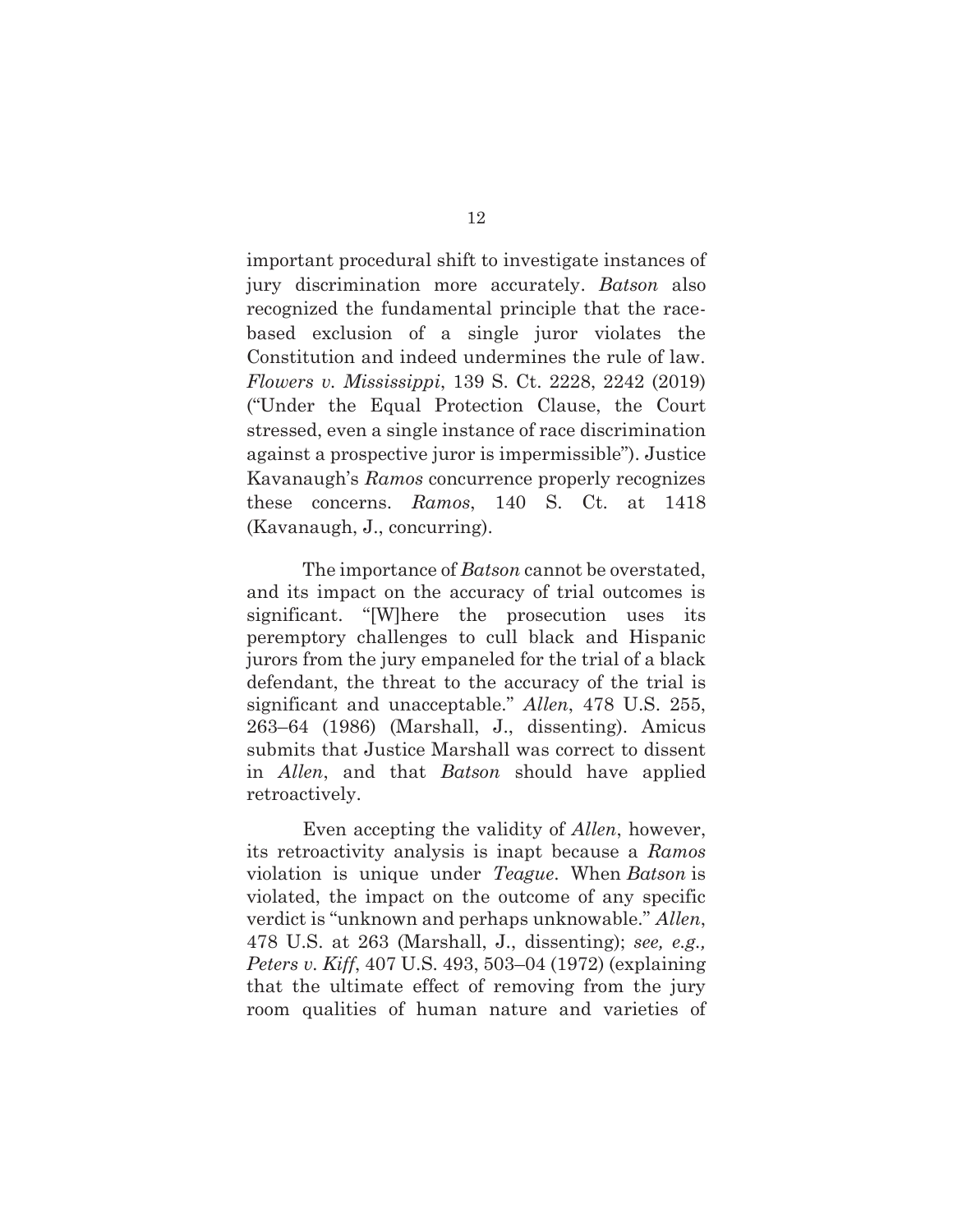important procedural shift to investigate instances of jury discrimination more accurately. *Batson* also recognized the fundamental principle that the racebased exclusion of a single juror violates the Constitution and indeed undermines the rule of law. *Flowers v. Mississippi*, 139 S. Ct. 2228, 2242 (2019) ("Under the Equal Protection Clause, the Court stressed, even a single instance of race discrimination against a prospective juror is impermissible"). Justice Kavanaugh's *Ramos* concurrence properly recognizes these concerns. *Ramos*, 140 S. Ct. at 1418 (Kavanaugh, J., concurring).

The importance of *Batson* cannot be overstated, and its impact on the accuracy of trial outcomes is significant. "[W]here the prosecution uses its peremptory challenges to cull black and Hispanic jurors from the jury empaneled for the trial of a black defendant, the threat to the accuracy of the trial is significant and unacceptable." *Allen*, 478 U.S. 255, 263–64 (1986) (Marshall, J., dissenting). Amicus submits that Justice Marshall was correct to dissent in *Allen*, and that *Batson* should have applied retroactively.

Even accepting the validity of *Allen*, however, its retroactivity analysis is inapt because a *Ramos*  violation is unique under *Teague*. When *Batson* is violated, the impact on the outcome of any specific verdict is "unknown and perhaps unknowable." *Allen*, 478 U.S. at 263 (Marshall, J., dissenting); *see, e.g., Peters v. Kiff*, 407 U.S. 493, 503–04 (1972) (explaining that the ultimate effect of removing from the jury room qualities of human nature and varieties of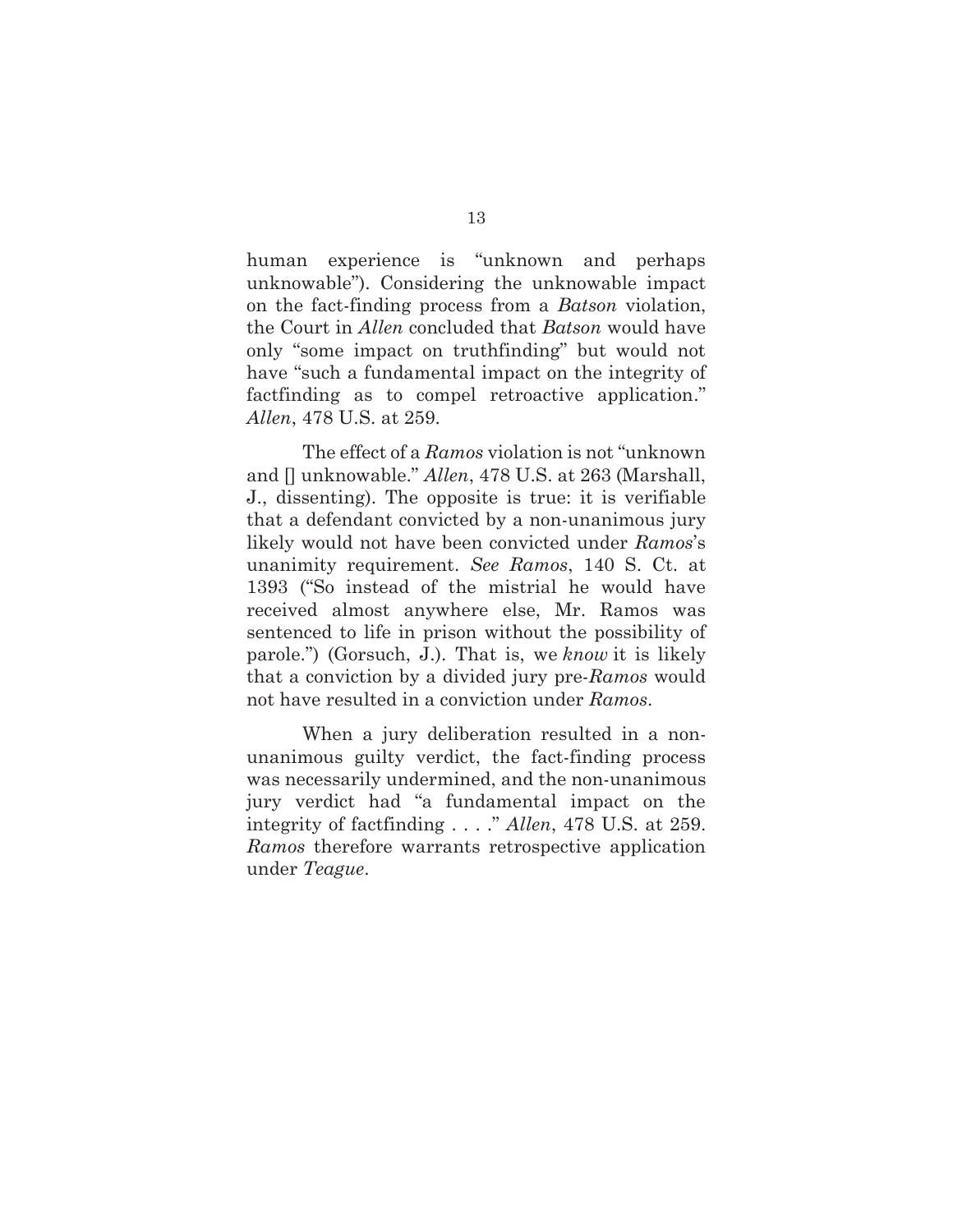human experience is "unknown and perhaps unknowable"). Considering the unknowable impact on the fact-finding process from a *Batson* violation, the Court in *Allen* concluded that *Batson* would have only "some impact on truthfinding" but would not have "such a fundamental impact on the integrity of factfinding as to compel retroactive application." *Allen*, 478 U.S. at 259.

The effect of a *Ramos* violation is not "unknown and [] unknowable." *Allen*, 478 U.S. at 263 (Marshall, J., dissenting). The opposite is true: it is verifiable that a defendant convicted by a non-unanimous jury likely would not have been convicted under *Ramos*'s unanimity requirement. *See Ramos*, 140 S. Ct. at 1393 ("So instead of the mistrial he would have received almost anywhere else, Mr. Ramos was sentenced to life in prison without the possibility of parole.") (Gorsuch, J.). That is, we *know* it is likely that a conviction by a divided jury pre-*Ramos* would not have resulted in a conviction under *Ramos*.

When a jury deliberation resulted in a nonunanimous guilty verdict, the fact-finding process was necessarily undermined, and the non-unanimous jury verdict had "a fundamental impact on the integrity of factfinding . . . ." *Allen*, 478 U.S. at 259. *Ramos* therefore warrants retrospective application under *Teague*.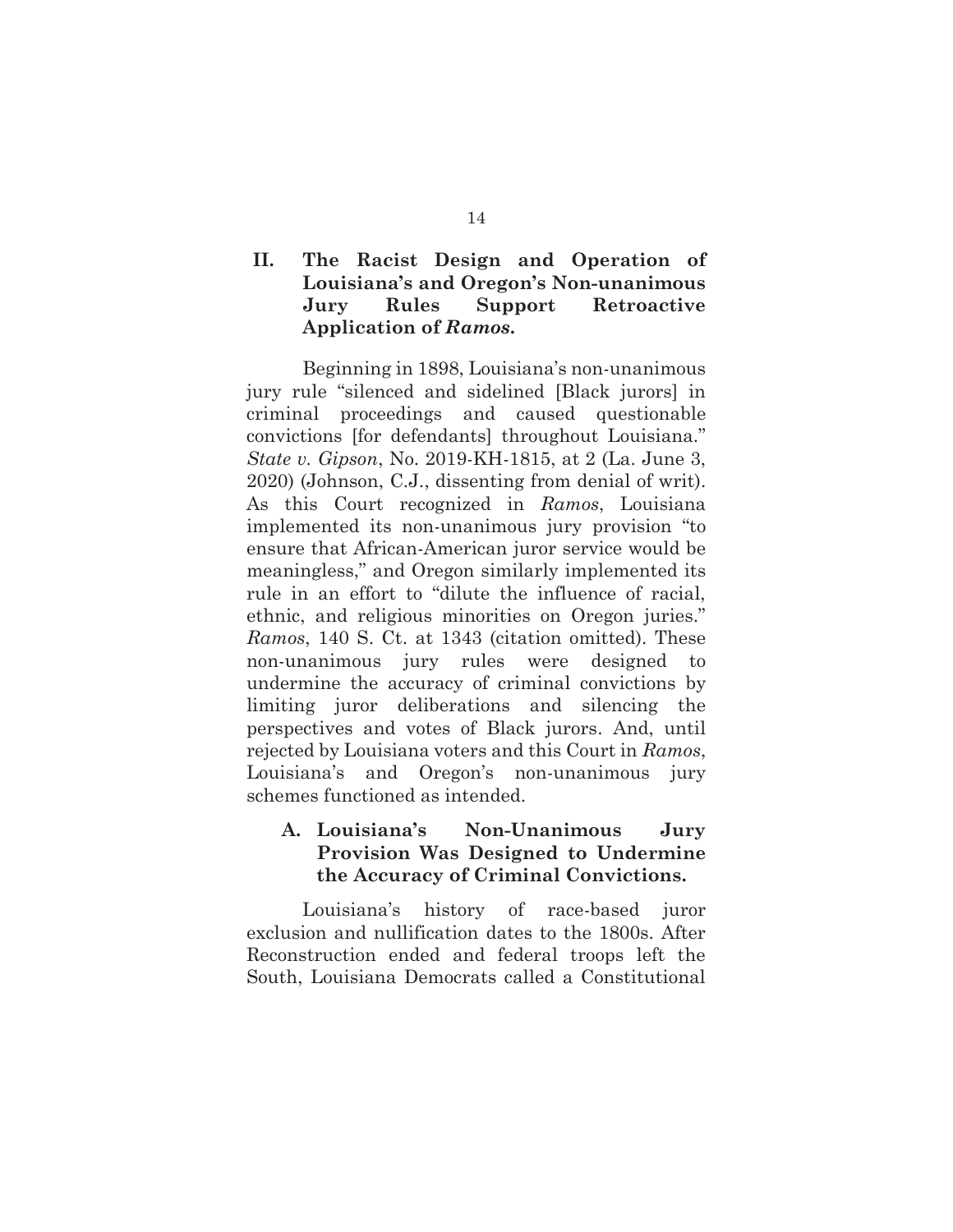#### **II. The Racist Design and Operation of Louisiana's and Oregon's Non-unanimous Jury Rules Support Retroactive Application of** *Ramos***.**

Beginning in 1898, Louisiana's non-unanimous jury rule "silenced and sidelined [Black jurors] in criminal proceedings and caused questionable convictions [for defendants] throughout Louisiana." *State v. Gipson*, No. 2019-KH-1815, at 2 (La. June 3, 2020) (Johnson, C.J., dissenting from denial of writ). As this Court recognized in *Ramos*, Louisiana implemented its non-unanimous jury provision "to ensure that African-American juror service would be meaningless," and Oregon similarly implemented its rule in an effort to "dilute the influence of racial, ethnic, and religious minorities on Oregon juries." *Ramos*, 140 S. Ct. at 1343 (citation omitted). These non-unanimous jury rules were designed to undermine the accuracy of criminal convictions by limiting juror deliberations and silencing the perspectives and votes of Black jurors. And, until rejected by Louisiana voters and this Court in *Ramos*, Louisiana's and Oregon's non-unanimous jury schemes functioned as intended.

### **A. Louisiana's Non-Unanimous Jury Provision Was Designed to Undermine the Accuracy of Criminal Convictions.**

Louisiana's history of race-based juror exclusion and nullification dates to the 1800s. After Reconstruction ended and federal troops left the South, Louisiana Democrats called a Constitutional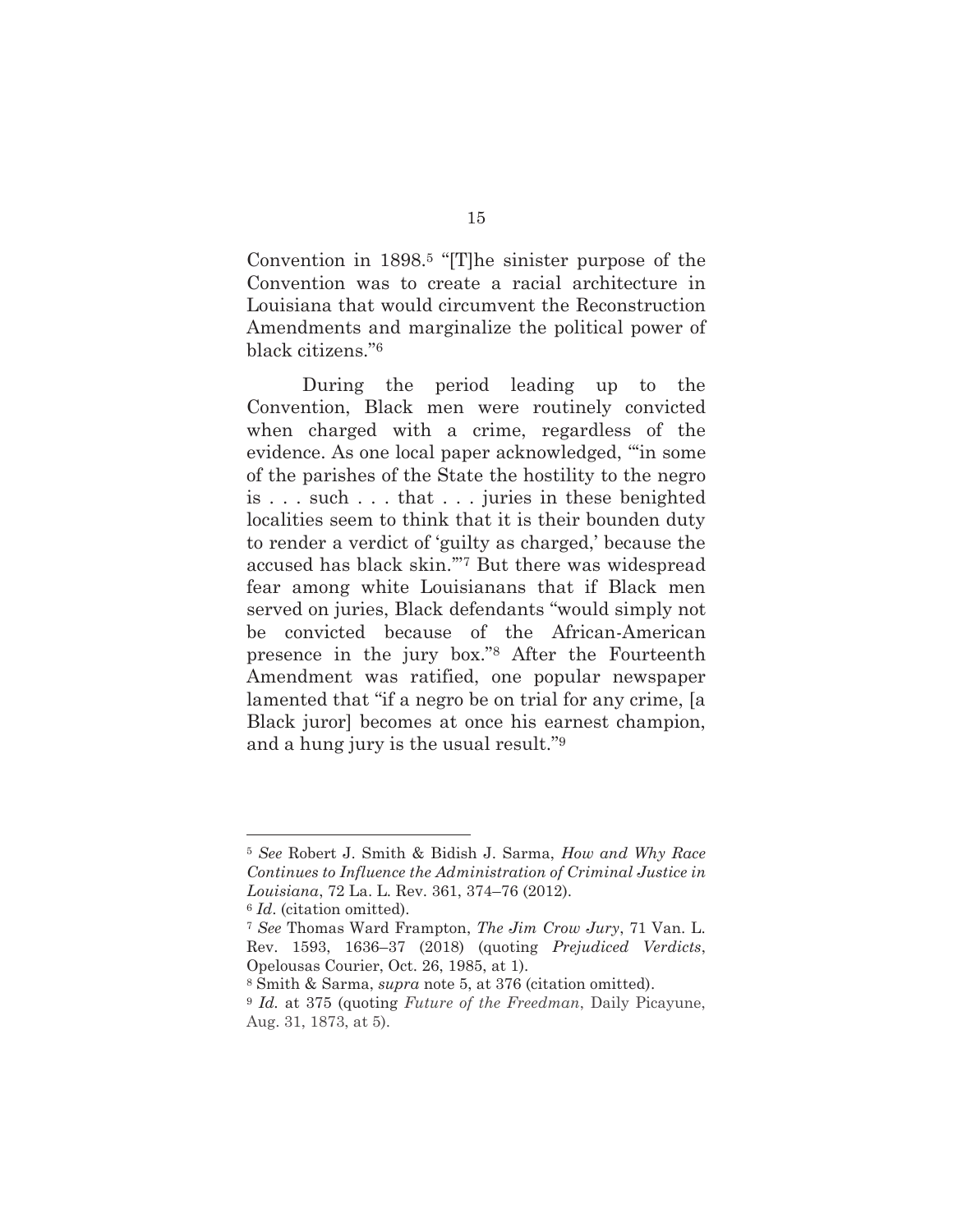Convention in 1898.5 "[T]he sinister purpose of the Convention was to create a racial architecture in Louisiana that would circumvent the Reconstruction Amendments and marginalize the political power of black citizens."6

During the period leading up to the Convention, Black men were routinely convicted when charged with a crime, regardless of the evidence. As one local paper acknowledged, "'in some of the parishes of the State the hostility to the negro is . . . such . . . that . . . juries in these benighted localities seem to think that it is their bounden duty to render a verdict of 'guilty as charged,' because the accused has black skin.'"7 But there was widespread fear among white Louisianans that if Black men served on juries, Black defendants "would simply not be convicted because of the African-American presence in the jury box."8 After the Fourteenth Amendment was ratified, one popular newspaper lamented that "if a negro be on trial for any crime, [a Black juror] becomes at once his earnest champion, and a hung jury is the usual result."9

<sup>5</sup> *See* Robert J. Smith & Bidish J. Sarma, *How and Why Race Continues to Influence the Administration of Criminal Justice in Louisiana*, 72 La. L. Rev. 361, 374–76 (2012).

<sup>6</sup> *Id*. (citation omitted).

<sup>7</sup> *See* Thomas Ward Frampton, *The Jim Crow Jury*, 71 Van. L. Rev. 1593, 1636–37 (2018) (quoting *Prejudiced Verdicts*, Opelousas Courier, Oct. 26, 1985, at 1).

<sup>8</sup> Smith & Sarma, *supra* note 5, at 376 (citation omitted).

<sup>9</sup> *Id.* at 375 (quoting *Future of the Freedman*, Daily Picayune, Aug. 31, 1873, at 5).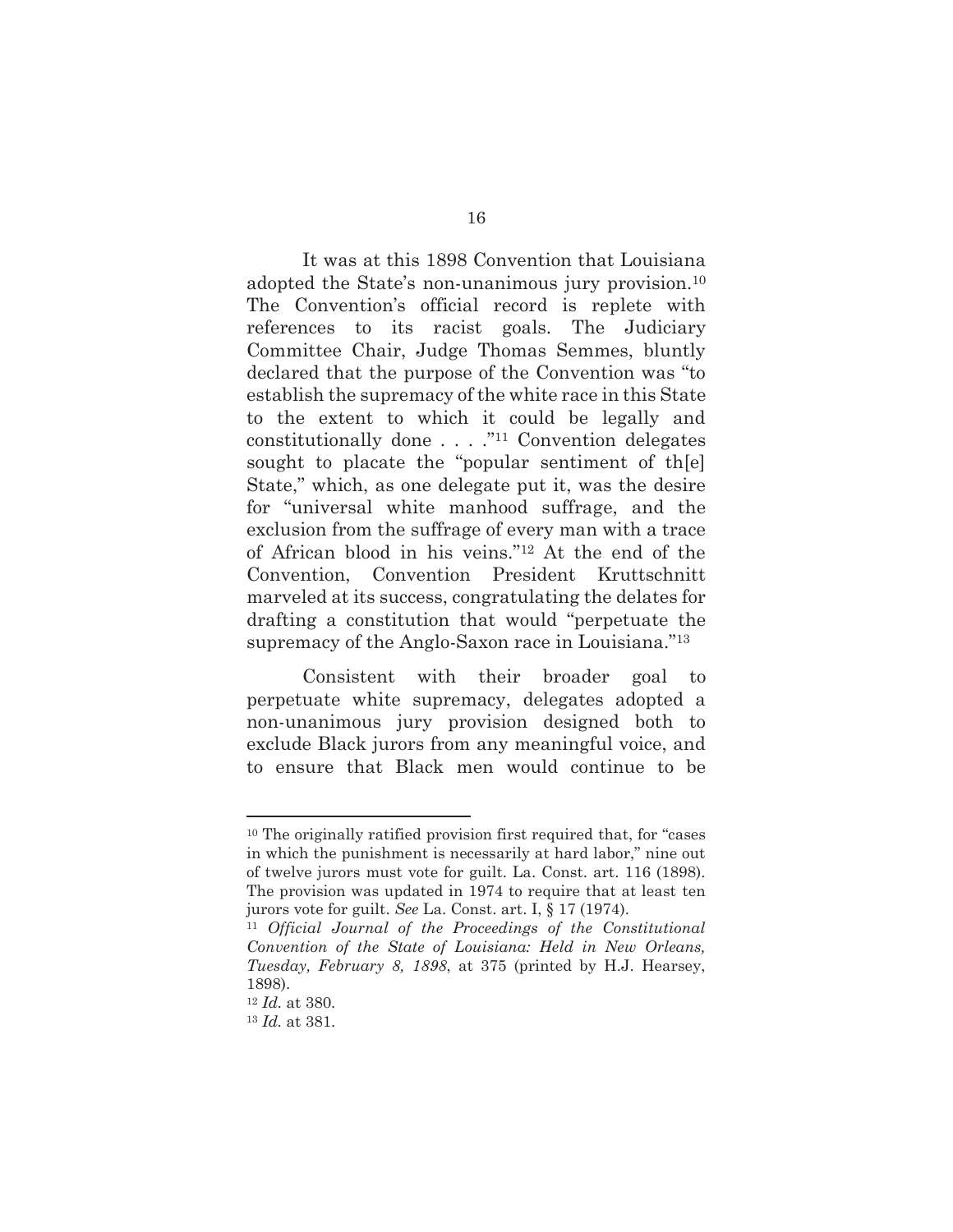It was at this 1898 Convention that Louisiana adopted the State's non-unanimous jury provision.10 The Convention's official record is replete with references to its racist goals. The Judiciary Committee Chair, Judge Thomas Semmes, bluntly declared that the purpose of the Convention was "to establish the supremacy of the white race in this State to the extent to which it could be legally and constitutionally done . . . ."11 Convention delegates sought to placate the "popular sentiment of th[e] State," which, as one delegate put it, was the desire for "universal white manhood suffrage, and the exclusion from the suffrage of every man with a trace of African blood in his veins."12 At the end of the Convention, Convention President Kruttschnitt marveled at its success, congratulating the delates for drafting a constitution that would "perpetuate the supremacy of the Anglo-Saxon race in Louisiana."13

Consistent with their broader goal to perpetuate white supremacy, delegates adopted a non-unanimous jury provision designed both to exclude Black jurors from any meaningful voice, and to ensure that Black men would continue to be

<sup>10</sup> The originally ratified provision first required that, for "cases in which the punishment is necessarily at hard labor," nine out of twelve jurors must vote for guilt. La. Const. art. 116 (1898). The provision was updated in 1974 to require that at least ten

jurors vote for guilt. *See* La. Const. art. I, § 17 (1974). 11 *Official Journal of the Proceedings of the Constitutional Convention of the State of Louisiana: Held in New Orleans, Tuesday, February 8, 1898*, at 375 (printed by H.J. Hearsey, 1898).

<sup>12</sup> *Id.* at 380.

<sup>13</sup> *Id.* at 381.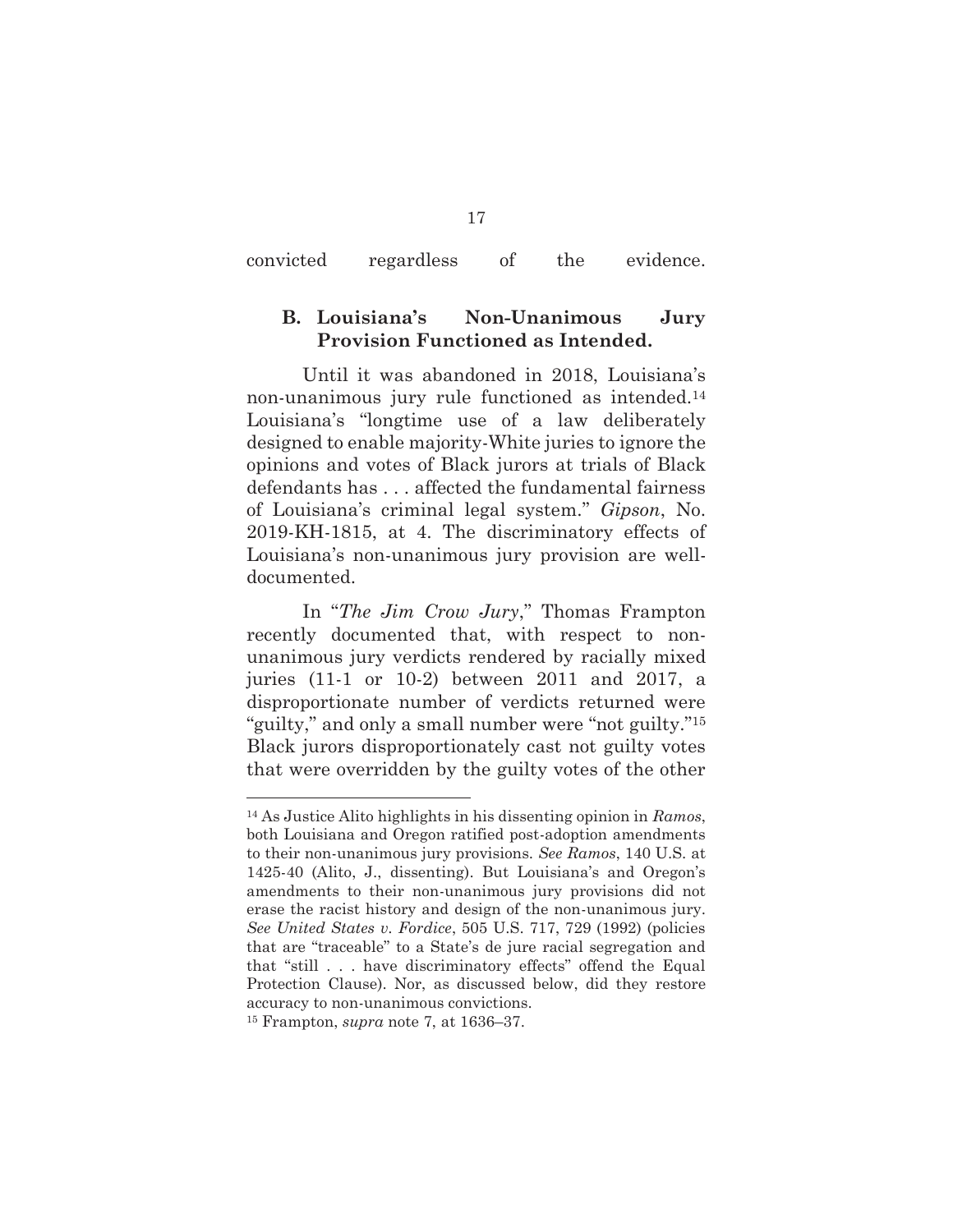| convicted | regardless | the | evidence. |
|-----------|------------|-----|-----------|
|           |            |     |           |

#### **B. Louisiana's Non-Unanimous Jury Provision Functioned as Intended.**

Until it was abandoned in 2018, Louisiana's non-unanimous jury rule functioned as intended.14 Louisiana's "longtime use of a law deliberately designed to enable majority-White juries to ignore the opinions and votes of Black jurors at trials of Black defendants has . . . affected the fundamental fairness of Louisiana's criminal legal system." *Gipson*, No. 2019-KH-1815, at 4. The discriminatory effects of Louisiana's non-unanimous jury provision are welldocumented.

In "*The Jim Crow Jury*," Thomas Frampton recently documented that, with respect to nonunanimous jury verdicts rendered by racially mixed juries (11-1 or 10-2) between 2011 and 2017, a disproportionate number of verdicts returned were "guilty," and only a small number were "not guilty."15 Black jurors disproportionately cast not guilty votes that were overridden by the guilty votes of the other

<sup>14</sup> As Justice Alito highlights in his dissenting opinion in *Ramos*, both Louisiana and Oregon ratified post-adoption amendments to their non-unanimous jury provisions. *See Ramos*, 140 U.S. at 1425-40 (Alito, J., dissenting). But Louisiana's and Oregon's amendments to their non-unanimous jury provisions did not erase the racist history and design of the non-unanimous jury. *See United States v. Fordice*, 505 U.S. 717, 729 (1992) (policies that are "traceable" to a State's de jure racial segregation and that "still . . . have discriminatory effects" offend the Equal Protection Clause). Nor, as discussed below, did they restore accuracy to non-unanimous convictions.

<sup>15</sup> Frampton, *supra* note 7, at 1636–37.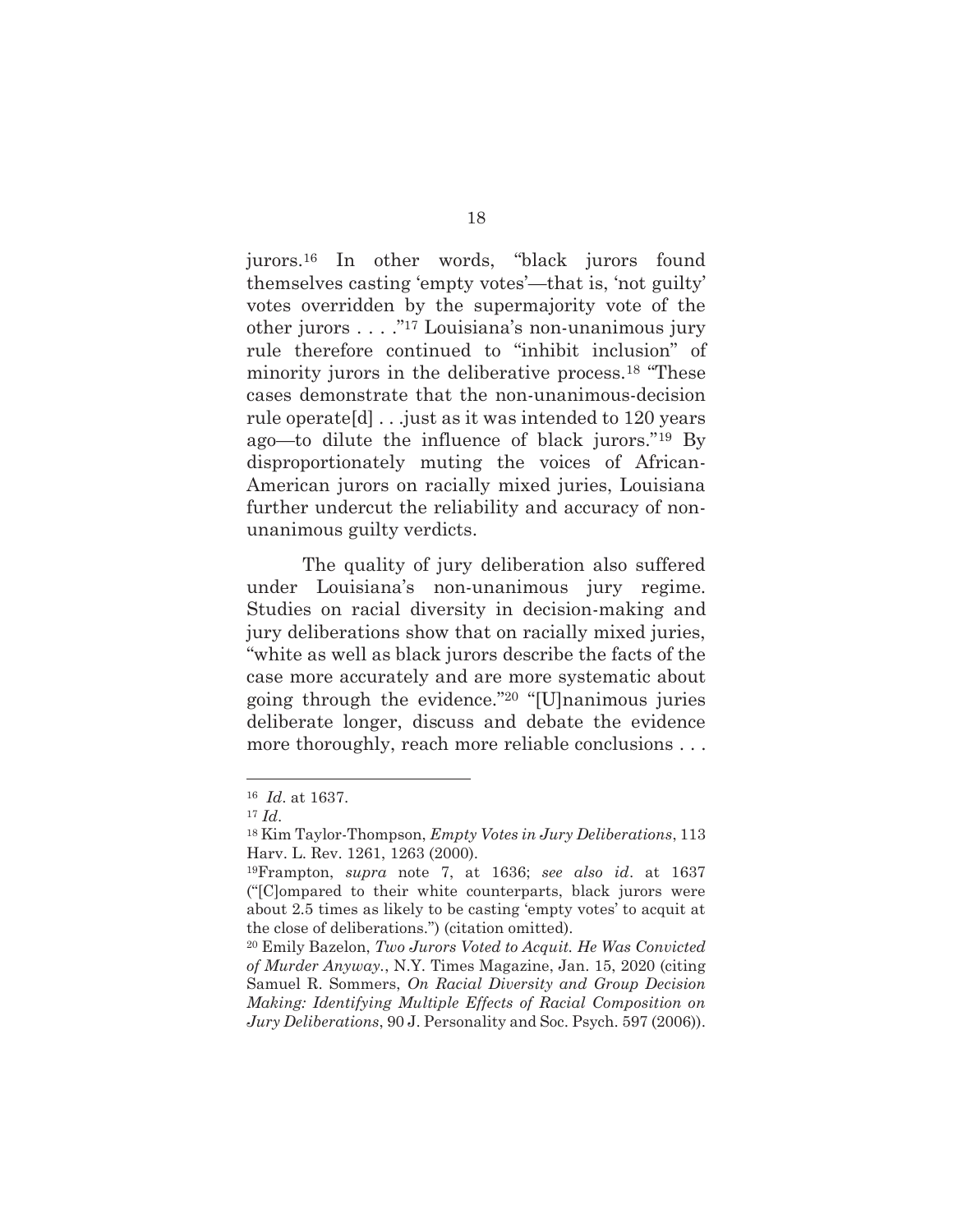jurors.16 In other words, "black jurors found themselves casting 'empty votes'—that is, 'not guilty' votes overridden by the supermajority vote of the other jurors . . . ."17 Louisiana's non-unanimous jury rule therefore continued to "inhibit inclusion" of minority jurors in the deliberative process.18 "These cases demonstrate that the non-unanimous-decision rule operate[d] . . .just as it was intended to 120 years ago—to dilute the influence of black jurors."19 By disproportionately muting the voices of African-American jurors on racially mixed juries, Louisiana further undercut the reliability and accuracy of nonunanimous guilty verdicts.

The quality of jury deliberation also suffered under Louisiana's non-unanimous jury regime. Studies on racial diversity in decision-making and jury deliberations show that on racially mixed juries, "white as well as black jurors describe the facts of the case more accurately and are more systematic about going through the evidence."20 "[U]nanimous juries deliberate longer, discuss and debate the evidence more thoroughly, reach more reliable conclusions . . .

<sup>16</sup> *Id*. at 1637.

<sup>17</sup> *Id*. 18 Kim Taylor-Thompson, *Empty Votes in Jury Deliberations*, 113 Harv. L. Rev. 1261, 1263 (2000).

<sup>19</sup>Frampton, *supra* note 7, at 1636; *see also id*. at 1637 ("[C]ompared to their white counterparts, black jurors were about 2.5 times as likely to be casting 'empty votes' to acquit at the close of deliberations.") (citation omitted).

<sup>20</sup> Emily Bazelon, *Two Jurors Voted to Acquit. He Was Convicted of Murder Anyway.*, N.Y. Times Magazine, Jan. 15, 2020 (citing Samuel R. Sommers, *On Racial Diversity and Group Decision Making: Identifying Multiple Effects of Racial Composition on Jury Deliberations*, 90 J. Personality and Soc. Psych. 597 (2006)).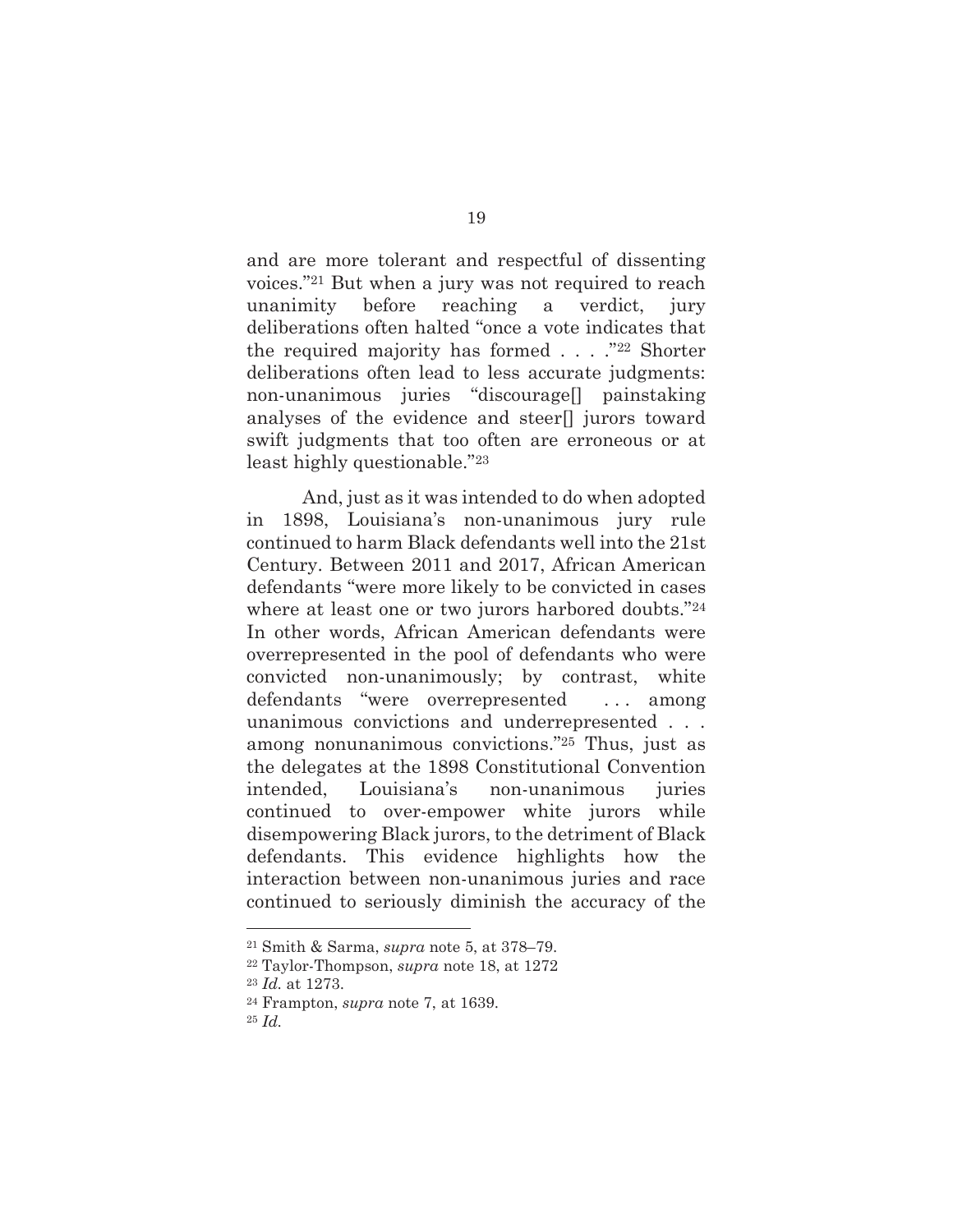and are more tolerant and respectful of dissenting voices."21 But when a jury was not required to reach unanimity before reaching a verdict, jury deliberations often halted "once a vote indicates that the required majority has formed . . . ."22 Shorter deliberations often lead to less accurate judgments: non-unanimous juries "discourage[] painstaking analyses of the evidence and steer[] jurors toward swift judgments that too often are erroneous or at least highly questionable."23

And, just as it was intended to do when adopted in 1898, Louisiana's non-unanimous jury rule continued to harm Black defendants well into the 21st Century. Between 2011 and 2017, African American defendants "were more likely to be convicted in cases where at least one or two jurors harbored doubts."24 In other words, African American defendants were overrepresented in the pool of defendants who were convicted non-unanimously; by contrast, white defendants "were overrepresented . . . among unanimous convictions and underrepresented . . . among nonunanimous convictions."25 Thus, just as the delegates at the 1898 Constitutional Convention intended, Louisiana's non-unanimous juries continued to over-empower white jurors while disempowering Black jurors, to the detriment of Black defendants. This evidence highlights how the interaction between non-unanimous juries and race continued to seriously diminish the accuracy of the

<sup>21</sup> Smith & Sarma, *supra* note 5, at 378–79. 22 Taylor-Thompson, *supra* note 18, at 1272

<sup>23</sup> *Id.* at 1273. 24 Frampton, *supra* note 7, at 1639.

<sup>25</sup> *Id.*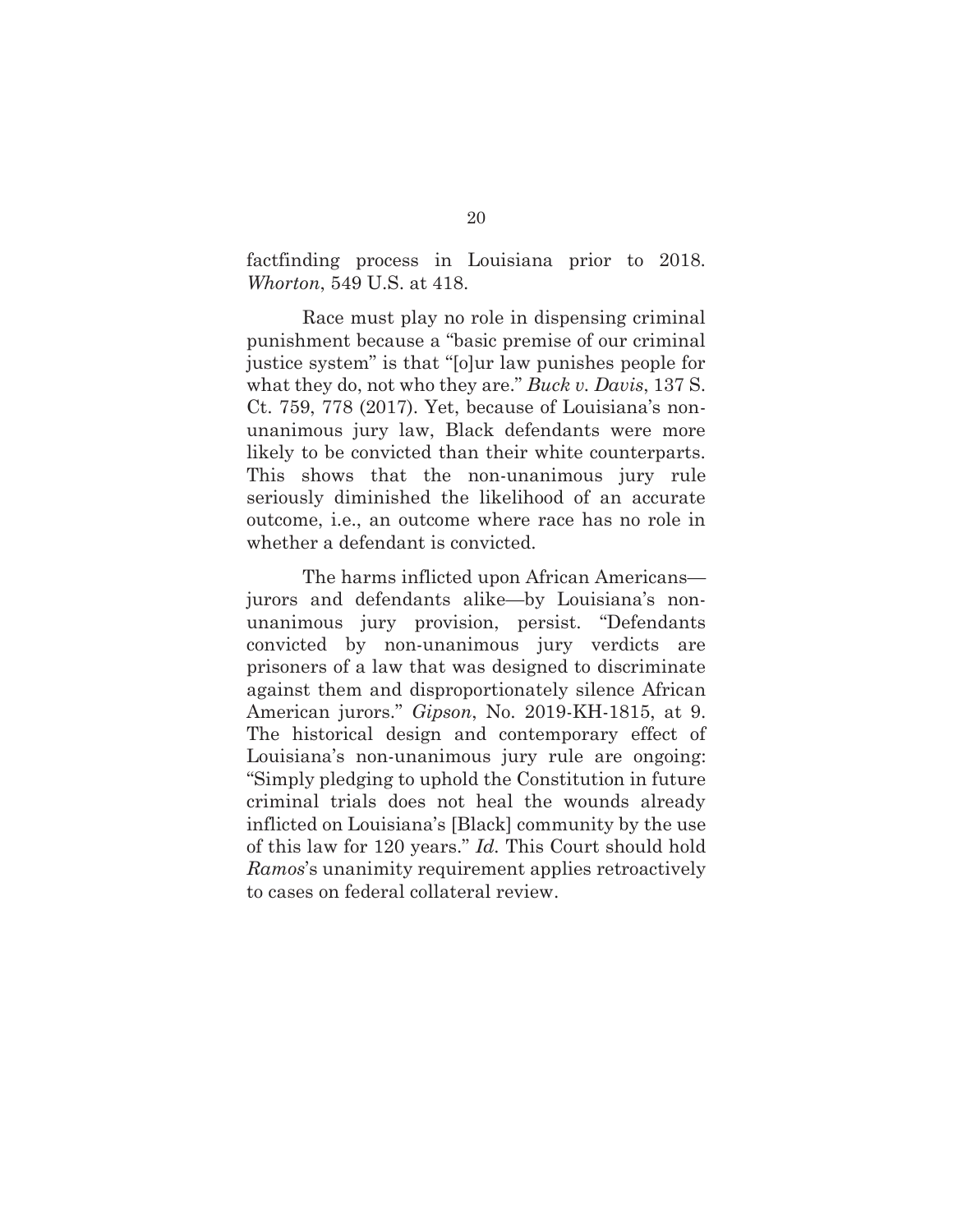factfinding process in Louisiana prior to 2018. *Whorton*, 549 U.S. at 418.

Race must play no role in dispensing criminal punishment because a "basic premise of our criminal justice system" is that "[o]ur law punishes people for what they do, not who they are." *Buck v. Davis*, 137 S. Ct. 759, 778 (2017). Yet, because of Louisiana's nonunanimous jury law, Black defendants were more likely to be convicted than their white counterparts. This shows that the non-unanimous jury rule seriously diminished the likelihood of an accurate outcome, i.e., an outcome where race has no role in whether a defendant is convicted.

The harms inflicted upon African Americans jurors and defendants alike—by Louisiana's nonunanimous jury provision, persist. "Defendants convicted by non-unanimous jury verdicts are prisoners of a law that was designed to discriminate against them and disproportionately silence African American jurors." *Gipson*, No. 2019-KH-1815, at 9. The historical design and contemporary effect of Louisiana's non-unanimous jury rule are ongoing: "Simply pledging to uphold the Constitution in future criminal trials does not heal the wounds already inflicted on Louisiana's [Black] community by the use of this law for 120 years." *Id.* This Court should hold *Ramos*'s unanimity requirement applies retroactively to cases on federal collateral review.